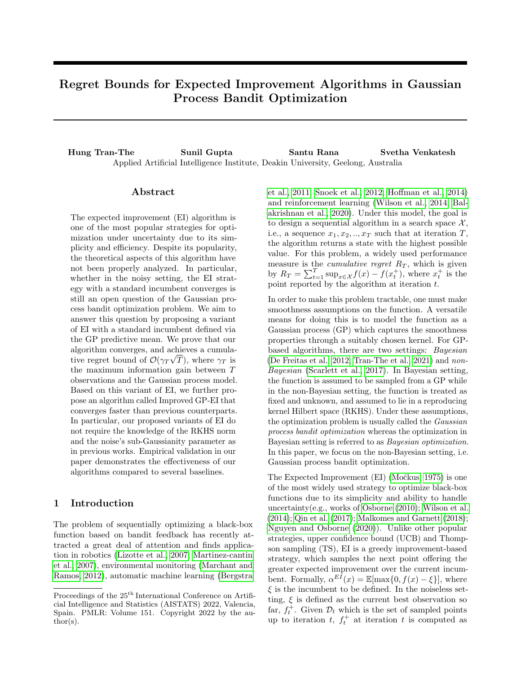# Regret Bounds for Expected Improvement Algorithms in Gaussian Process Bandit Optimization

Hung Tran-The Sunil Gupta Santu Rana Svetha Venkatesh Applied Artificial Intelligence Institute, Deakin University, Geelong, Australia

## Abstract

The expected improvement (EI) algorithm is one of the most popular strategies for optimization under uncertainty due to its simplicity and efficiency. Despite its popularity, the theoretical aspects of this algorithm have not been properly analyzed. In particular, whether in the noisy setting, the EI strategy with a standard incumbent converges is still an open question of the Gaussian process bandit optimization problem. We aim to answer this question by proposing a variant of EI with a standard incumbent defined via the GP predictive mean. We prove that our algorithm converges, and achieves a cumulative regret bound of  $\mathcal{O}(\gamma_T\sqrt{T})$ , where  $\gamma_T$  is the maximum information gain between T observations and the Gaussian process model. Based on this variant of EI, we further propose an algorithm called Improved GP-EI that converges faster than previous counterparts. In particular, our proposed variants of EI do not require the knowledge of the RKHS norm and the noise's sub-Gaussianity parameter as in previous works. Empirical validation in our paper demonstrates the effectiveness of our algorithms compared to several baselines.

# 1 Introduction

The problem of sequentially optimizing a black-box function based on bandit feedback has recently attracted a great deal of attention and finds application in robotics [\(Lizotte et al., 2007;](#page-9-0) [Martinez-cantin](#page-9-1) [et al., 2007\)](#page-9-1), environmental monitoring [\(Marchant and](#page-9-2) [Ramos, 2012\)](#page-9-2), automatic machine learning [\(Bergstra](#page-8-0) [et al., 2011;](#page-8-0) [Snoek et al., 2012;](#page-9-3) [Hoffman et al., 2014\)](#page-8-1) and reinforcement learning [\(Wilson et al., 2014;](#page-10-0) [Bal](#page-8-2)[akrishnan et al., 2020\)](#page-8-2). Under this model, the goal is to design a sequential algorithm in a search space  $\mathcal{X},$ i.e., a sequence  $x_1, x_2, \ldots, x_T$  such that at iteration T, the algorithm returns a state with the highest possible value. For this problem, a widely used performance measure is the *cumulative regret*  $R_T$ , which is given by  $R_T = \sum_{t=1}^T \sup_{x \in \mathcal{X}} f(x) - f(x_t^+)$ , where  $x_t^+$  is the point reported by the algorithm at iteration  $t$ .

In order to make this problem tractable, one must make smoothness assumptions on the function. A versatile means for doing this is to model the function as a Gaussian process (GP) which captures the smoothness properties through a suitably chosen kernel. For GPbased algorithms, there are two settings: Bayesian [\(De Freitas et al., 2012;](#page-8-3) [Tran-The et al., 2021\)](#page-10-1) and non-Bayesian [\(Scarlett et al., 2017\)](#page-9-4). In Bayesian setting, the function is assumed to be sampled from a GP while in the non-Bayesian setting, the function is treated as fixed and unknown, and assumed to lie in a reproducing kernel Hilbert space (RKHS). Under these assumptions, the optimization problem is usually called the Gaussian process bandit optimization whereas the optimization in Bayesian setting is referred to as Bayesian optimization. In this paper, we focus on the non-Bayesian setting, i.e. Gaussian process bandit optimization.

The Expected Improvement (EI) (Močkus, 1975) is one of the most widely used strategy to optimize black-box functions due to its simplicity and ability to handle uncertainty(e.g., works of [Osborne \(2010\)](#page-9-6); [Wilson et al.](#page-10-0) [\(2014\)](#page-10-0); [Qin et al. \(2017\)](#page-9-7); [Malkomes and Garnett \(2018\)](#page-9-8); [Nguyen and Osborne \(2020\)](#page-9-9)). Unlike other popular strategies, upper confidence bound (UCB) and Thompson sampling (TS), EI is a greedy improvement-based strategy, which samples the next point offering the greater expected improvement over the current incumbent. Formally,  $\alpha^{EI}(x) = \mathbb{E}[\max\{0, f(x) - \xi\}]$ , where  $\xi$  is the incumbent to be defined. In the noiseless setting,  $\xi$  is defined as the current best observation so far,  $f_t^+$ . Given  $\mathcal{D}_t$  which is the set of sampled points up to iteration  $t, f_t^+$  at iteration  $t$  is computed as

Proceedings of the  $25<sup>th</sup>$  International Conference on Artificial Intelligence and Statistics (AISTATS) 2022, Valencia, Spain. PMLR: Volume 151. Copyright 2022 by the au- $\text{thor}(s)$ .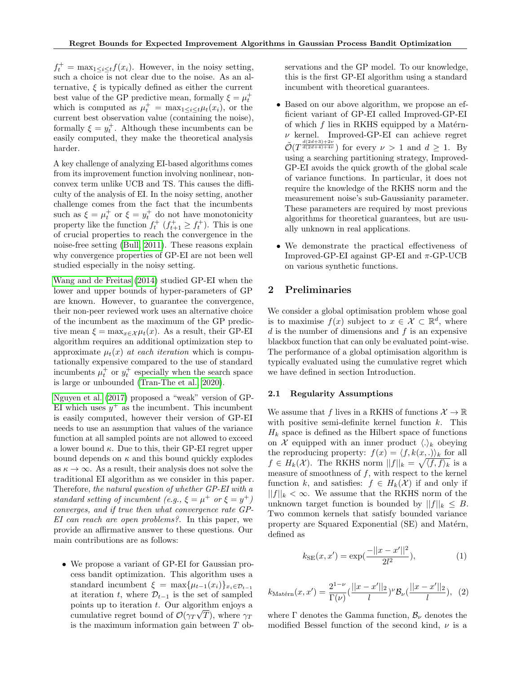$f_t^+ = \max_{1 \le i \le t} f(x_i)$ . However, in the noisy setting, such a choice is not clear due to the noise. As an alternative,  $\xi$  is typically defined as either the current best value of the GP predictive mean, formally  $\xi = \mu_t^+$ which is computed as  $\mu_t^+ = \max_{1 \leq i \leq t} \mu_t(x_i)$ , or the current best observation value (containing the noise), formally  $\xi = y_t^+$ . Although these incumbents can be easily computed, they make the theoretical analysis harder.

A key challenge of analyzing EI-based algorithms comes from its improvement function involving nonlinear, nonconvex term unlike UCB and TS. This causes the difficulty of the analysis of EI. In the noisy setting, another challenge comes from the fact that the incumbents such as  $\xi = \mu_t^+$  or  $\xi = y_t^+$  do not have monotonicity property like the function  $f_t^+$   $(f_{t+1}^+ \geq f_t^+)$ . This is one of crucial properties to reach the convergence in the noise-free setting [\(Bull, 2011\)](#page-8-4). These reasons explain why convergence properties of GP-EI are not been well studied especially in the noisy setting.

[Wang and de Freitas \(2014\)](#page-10-2) studied GP-EI when the lower and upper bounds of hyper-parameters of GP are known. However, to guarantee the convergence, their non-peer reviewed work uses an alternative choice of the incumbent as the maximum of the GP predictive mean  $\xi = \max_{x \in \mathcal{X}} \mu_t(x)$ . As a result, their GP-EI algorithm requires an additional optimization step to approximate  $\mu_t(x)$  at each iteration which is computationally expensive compared to the use of standard incumbents  $\mu_t^+$  or  $y_t^+$  especially when the search space is large or unbounded [\(Tran-The et al., 2020\)](#page-9-10).

[Nguyen et al. \(2017\)](#page-9-11) proposed a "weak" version of GP-EI which uses  $y^+$  as the incumbent. This incumbent is easily computed, however their version of GP-EI needs to use an assumption that values of the variance function at all sampled points are not allowed to exceed a lower bound  $\kappa$ . Due to this, their GP-EI regret upper bound depends on  $\kappa$  and this bound quickly explodes as  $\kappa \to \infty$ . As a result, their analysis does not solve the traditional EI algorithm as we consider in this paper. Therefore, the natural question of whether GP-EI with a standard setting of incumbent (e.g.,  $\xi = \mu^+$  or  $\xi = y^+$ ) converges, and if true then what convergence rate GP-EI can reach are open problems?. In this paper, we provide an affirmative answer to these questions. Our main contributions are as follows:

• We propose a variant of GP-EI for Gaussian process bandit optimization. This algorithm uses a standard incumbent  $\xi = \max{\mu_{t-1}(x_i)}_{x_i \in \mathcal{D}_{t-1}}$ at iteration t, where  $\mathcal{D}_{t-1}$  is the set of sampled points up to iteration t. Our algorithm enjoys a cumulative regret bound of  $\mathcal{O}(\gamma_T \sqrt{T})$ , where  $\gamma_T$ is the maximum information gain between  $T$  observations and the GP model. To our knowledge, this is the first GP-EI algorithm using a standard incumbent with theoretical guarantees.

- Based on our above algorithm, we propose an efficient variant of GP-EI called Improved-GP-EI of which  $f$  lies in RKHS equipped by a Matérn- $\nu$  kernel. Improved-GP-EI can achieve regret  $\tilde{\mathcal{O}}(T^{\frac{d(2d+3)+2\nu}{d(2d+4)+4\nu}})$  for every  $\nu > 1$  and  $d \geq 1$ . By using a searching partitioning strategy, Improved-GP-EI avoids the quick growth of the global scale of variance functions. In particular, it does not require the knowledge of the RKHS norm and the measurement noise's sub-Gaussianity parameter. These parameters are required by most previous algorithms for theoretical guarantees, but are usually unknown in real applications.
- We demonstrate the practical effectiveness of Improved-GP-EI against GP-EI and  $\pi$ -GP-UCB on various synthetic functions.

# 2 Preliminaries

We consider a global optimisation problem whose goal is to maximise  $f(x)$  subject to  $x \in \mathcal{X} \subset \mathbb{R}^d$ , where  $d$  is the number of dimensions and  $f$  is an expensive blackbox function that can only be evaluated point-wise. The performance of a global optimisation algorithm is typically evaluated using the cumulative regret which we have defined in section Introduction.

### 2.1 Regularity Assumptions

We assume that f lives in a RKHS of functions  $\mathcal{X} \to \mathbb{R}$ with positive semi-definite kernel function  $k$ . This  $H_k$  space is defined as the Hilbert space of functions on X equipped with an inner product  $\langle . \rangle_k$  obeying the reproducing property:  $f(x) = \langle f, k(x, .)\rangle_k$  for all  $f \in H_k(\mathcal{X})$ . The RKHS norm  $||f||_k = \sqrt{\langle f, f \rangle_k}$  is a measure of smoothness of  $f$ , with respect to the kernel function k, and satisfies:  $f \in H_k(\mathcal{X})$  if and only if  $||f||_k < \infty$ . We assume that the RKHS norm of the unknown target function is bounded by  $||f||_k \leq B$ . Two common kernels that satisfy bounded variance property are Squared Exponential (SE) and Matérn, defined as

$$
k_{\text{SE}}(x, x') = \exp(\frac{-||x - x'||^2}{2l^2}),\tag{1}
$$

$$
k_{\text{Matérn}}(x, x') = \frac{2^{1-\nu}}{\Gamma(\nu)} \left( \frac{||x - x'||_2}{l} \right)^{\nu} \mathcal{B}_{\nu} \left( \frac{||x - x'||_2}{l} \right), \tag{2}
$$

where  $\Gamma$  denotes the Gamma function,  $\mathcal{B}_{\nu}$  denotes the modified Bessel function of the second kind,  $\nu$  is a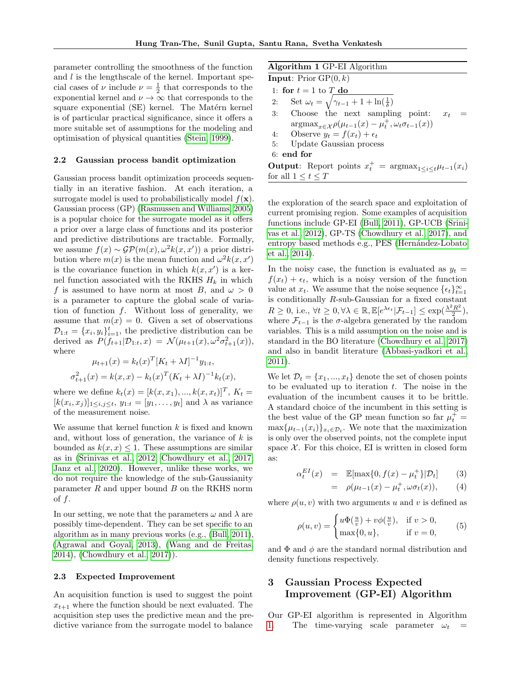parameter controlling the smoothness of the function and  $l$  is the lengthscale of the kernel. Important special cases of  $\nu$  include  $\nu = \frac{1}{2}$  that corresponds to the exponential kernel and  $\nu \to \infty$  that corresponds to the square exponential (SE) kernel. The Matérn kernel is of particular practical significance, since it offers a more suitable set of assumptions for the modeling and optimisation of physical quantities [\(Stein, 1999\)](#page-9-12).

### 2.2 Gaussian process bandit optimization

Gaussian process bandit optimization proceeds sequentially in an iterative fashion. At each iteration, a surrogate model is used to probabilistically model  $f(\mathbf{x})$ . Gaussian process (GP) [\(Rasmussen and Williams, 2005\)](#page-9-13) is a popular choice for the surrogate model as it offers a prior over a large class of functions and its posterior and predictive distributions are tractable. Formally, we assume  $f(x) \sim \mathcal{GP}(m(x), \omega^2 k(x, x'))$  a prior distribution where  $m(x)$  is the mean function and  $\omega^2 k(x, x')$ is the covariance function in which  $k(x, x')$  is a kernel function associated with the RKHS  $H_k$  in which f is assumed to have norm at most B, and  $\omega > 0$ is a parameter to capture the global scale of variation of function  $f$ . Without loss of generality, we assume that  $m(x) = 0$ . Given a set of observations  $\mathcal{D}_{1:t} = \{x_i, y_i\}_{i=1}^t$ , the predictive distribution can be derived as  $P(f_{t+1} | \mathcal{D}_{1:t}, x) = \mathcal{N}(\mu_{t+1}(x), \omega^2 \sigma_{t+1}^2(x)),$ where

$$
\mu_{t+1}(x) = k_t(x)^T [K_t + \lambda I]^{-1} y_{1:t},
$$
  

$$
\sigma_{t+1}^2(x) = k(x, x) - k_t(x)^T (K_t + \lambda I)^{-1} k_t(x),
$$

where we define  $k_t(x) = [k(x, x_1), ..., k(x, x_t)]^T$ ,  $K_t =$  $[k(x_i, x_j)]_{1 \leq i,j \leq t}, y_{1:t} = [y_1, \ldots, y_t]$  and  $\lambda$  as variance of the measurement noise.

We assume that kernel function  $k$  is fixed and known and, without loss of generation, the variance of  $k$  is bounded as  $k(x, x) \leq 1$ . These assumptions are similar as in [\(Srinivas et al., 2012;](#page-9-14) [Chowdhury et al., 2017;](#page-8-5) [Janz et al., 2020\)](#page-9-15). However, unlike these works, we do not require the knowledge of the sub-Gaussianity parameter  $R$  and upper bound  $B$  on the RKHS norm of  $f$ .

In our setting, we note that the parameters  $\omega$  and  $\lambda$  are possibly time-dependent. They can be set specific to an algorithm as in many previous works (e.g., [\(Bull, 2011\)](#page-8-4), [\(Agrawal and Goyal, 2013\)](#page-8-6), [\(Wang and de Freitas,](#page-10-2) [2014\)](#page-10-2), [\(Chowdhury et al., 2017\)](#page-8-5)).

#### 2.3 Expected Improvement

An acquisition function is used to suggest the point  $x_{t+1}$  where the function should be next evaluated. The acquisition step uses the predictive mean and the predictive variance from the surrogate model to balance

<span id="page-2-0"></span>

| Algorithm 1 GP-EI Algorithm                                                                   |
|-----------------------------------------------------------------------------------------------|
| <b>Input:</b> Prior $GP(0, k)$                                                                |
| 1: for $t = 1$ to T do                                                                        |
| 2: Set $\omega_t = \sqrt{\gamma_{t-1} + 1 + \ln(\frac{1}{\delta})}$                           |
| 3: Choose the next sampling point:<br>$x_{t}$                                                 |
| $\arg\max_{x \in \mathcal{X}} \rho(\mu_{t-1}(x) - \mu_t^+, \omega_t \sigma_{t-1}(x))$         |
| 4: Observe $y_t = f(x_t) + \epsilon_t$                                                        |
| 5: Update Gaussian process                                                                    |
| $6:$ end for                                                                                  |
| <b>Output:</b> Report points $x_t^+$ = $\operatorname{argmax}_{1 \le i \le t} \mu_{t-1}(x_i)$ |
| for all $1 \le t \le T$                                                                       |

the exploration of the search space and exploitation of current promising region. Some examples of acquisition functions include GP-EI [\(Bull, 2011\)](#page-8-4), GP-UCB [\(Srini](#page-9-14)[vas et al., 2012\)](#page-9-14), GP-TS [\(Chowdhury et al., 2017\)](#page-8-5), and entropy based methods e.g., PES (Hernández-Lobato [et al., 2014\)](#page-8-7).

In the noisy case, the function is evaluated as  $y_t =$  $f(x_t) + \epsilon_t$ , which is a noisy version of the function value at  $x_t$ . We assume that the noise sequence  $\{\epsilon_t\}_{t=1}^{\infty}$ is conditionally R-sub-Gaussian for a fixed constant  $R \geq 0$ , i.e.,  $\forall t \geq 0, \forall \lambda \in \mathbb{R}, \mathbb{E}[e^{\lambda \epsilon_t} | \mathcal{F}_{t-1}] \leq \exp(\frac{\lambda^2 R^2}{2})$  $\frac{R^2}{2}),$ where  $\mathcal{F}_{t-1}$  is the  $\sigma$ -algebra generated by the random variables. This is a mild assumption on the noise and is standard in the BO literature [\(Chowdhury et al., 2017\)](#page-8-5) and also in bandit literature [\(Abbasi-yadkori et al.,](#page-8-8) [2011\)](#page-8-8).

We let  $\mathcal{D}_t = \{x_1, ..., x_t\}$  denote the set of chosen points to be evaluated up to iteration  $t$ . The noise in the evaluation of the incumbent causes it to be brittle. A standard choice of the incumbent in this setting is the best value of the GP mean function so far  $\mu_t^+$  =  $\max\{\mu_{t-1}(x_i)\}_{x_i\in\mathcal{D}_t}$ . We note that the maximization is only over the observed points, not the complete input space  $X$ . For this choice, EI is written in closed form as:

$$
\alpha_t^{EI}(x) = \mathbb{E}[\max\{0, f(x) - \mu_t^+\} | \mathcal{D}_t] \qquad (3)
$$

$$
= \rho(\mu_{t-1}(x) - \mu_t^+, \omega \sigma_t(x)), \qquad (4)
$$

where  $\rho(u, v)$  with two arguments u and v is defined as

<span id="page-2-1"></span>
$$
\rho(u,v) = \begin{cases} u\Phi(\frac{u}{v}) + v\phi(\frac{u}{v}), & \text{if } v > 0, \\ \max\{0, u\}, & \text{if } v = 0, \end{cases}
$$
 (5)

and  $\Phi$  and  $\phi$  are the standard normal distribution and density functions respectively.

# 3 Gaussian Process Expected Improvement (GP-EI) Algorithm

Our GP-EI algorithm is represented in Algorithm [1.](#page-2-0) The time-varying scale parameter  $\omega_t$  =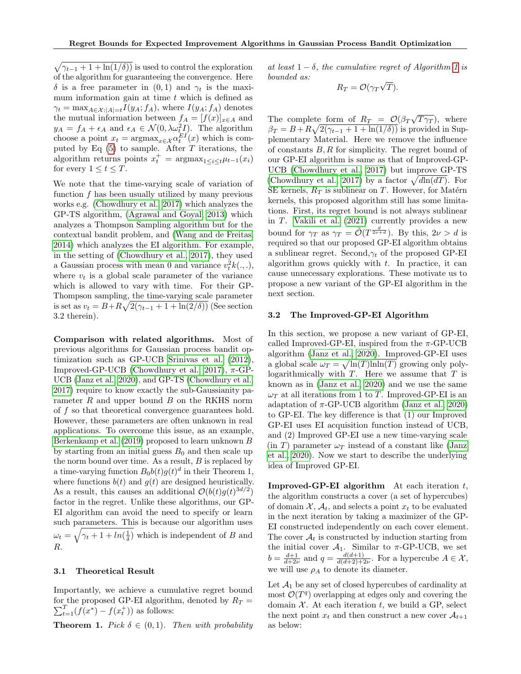$\sqrt{\gamma_{t-1} + 1 + \ln(1/\delta)}$  is used to control the exploration of the algorithm for guaranteeing the convergence. Here δ is a free parameter in  $(0, 1)$  and  $γ_t$  is the maximum information gain at time  $t$  which is defined as  $\gamma_t = \max_{A \in \mathcal{X}: |A|=t} I(y_A; f_A)$ , where  $I(y_A; f_A)$  denotes the mutual information between  $f_A = [f(x)]_{x \in A}$  and  $y_A = f_A + \epsilon_A$  and  $\epsilon_A \in \mathcal{N}(0, \lambda \omega_t^2 I)$ . The algorithm choose a point  $x_t = \text{argmax}_{x \in \mathcal{X}} \alpha_t^{EI}(x)$  which is computed by Eq  $(5)$  to sample. After T iterations, the algorithm returns points  $x_t^+$  =  $\operatorname{argmax}_{1 \le i \le t} \mu_{t-1}(x_i)$ for every  $1 \le t \le T$ .

We note that the time-varying scale of variation of function  $f$  has been usually utilized by many previous works e.g. [\(Chowdhury et al., 2017\)](#page-8-5) which analyzes the GP-TS algorithm, [\(Agrawal and Goyal, 2013\)](#page-8-6) which analyzes a Thompson Sampling algorithm but for the contextual bandit problem, and [\(Wang and de Freitas,](#page-10-2) [2014\)](#page-10-2) which analyzes the EI algorithm. For example, in the setting of [\(Chowdhury et al., 2017\)](#page-8-5), they used a Gaussian process with mean 0 and variance  $v_t^2 k(.,.),$ where  $v_t$  is a global scale parameter of the variance which is allowed to vary with time. For their GP-Thompson sampling, the time-varying scale parameter is set as  $v_t = B + R\sqrt{2(\gamma_{t-1} + 1 + \ln(2/\delta))}$  (See section 3.2 therein).

Comparison with related algorithms. Most of previous algorithms for Gaussian process bandit optimization such as GP-UCB [Srinivas et al. \(2012\)](#page-9-14), Improved-GP-UCB [\(Chowdhury et al., 2017\)](#page-8-5),  $\pi$ -GP-UCB [\(Janz et al., 2020\)](#page-9-15), and GP-TS [\(Chowdhury et al.,](#page-8-5) [2017\)](#page-8-5) require to know exactly the sub-Gaussianity parameter  $R$  and upper bound  $B$  on the RKHS norm of f so that theoretical convergence guarantees hold. However, these parameters are often unknown in real applications. To overcome this issue, as an example, [Berkenkamp et al. \(2019\)](#page-8-9) proposed to learn unknown B by starting from an initial guess  $B_0$  and then scale up the norm bound over time. As a result,  $B$  is replaced by a time-varying function  $B_0b(t)g(t)^d$  in their Theorem 1, where functions  $b(t)$  and  $g(t)$  are designed heuristically. As a result, this causes an additional  $\mathcal{O}(b(t)g(t)^{3d/2})$ factor in the regret. Unlike these algorithms, our GP-EI algorithm can avoid the need to specify or learn such parameters. This is because our algorithm uses  $\omega_t = \sqrt{\gamma_t + 1 + \ln(\frac{1}{\delta})}$  which is independent of B and R.

### 3.1 Theoretical Result

Importantly, we achieve a cumulative regret bound for the proposed GP-EI algorithm, denoted by  $R_T =$  $\sum_{t=1}^{T} (f(x^*) - f(x_t^+))$  as follows:

<span id="page-3-0"></span>**Theorem 1.** Pick  $\delta \in (0,1)$ . Then with probability

at least  $1 - \delta$ , the cumulative regret of Algorithm [1](#page-2-0) is bounded as: √

$$
R_T = \mathcal{O}(\gamma_T \sqrt{T}).
$$

The complete form of  $R_T = \mathcal{O}(\beta_T \sqrt{T \gamma_T})$ , where  $\beta_T = B + R\sqrt{2(\gamma_{t-1} + 1 + \ln(1/\delta))}$  is provided in Supplementary Material. Here we remove the influence of constants  $B, R$  for simplicity. The regret bound of our GP-EI algorithm is same as that of Improved-GP-UCB [\(Chowdhury et al., 2017\)](#page-8-5) but improve GP-TS [\(Chowdhury et al., 2017\)](#page-8-5) by a factor  $\sqrt{d\ln(dT)}$ . For SE kernels,  $R_T$  is sublinear on T. However, for Matérn kernels, this proposed algorithm still has some limitations. First, its regret bound is not always sublinear in T. [Vakili et al. \(2021\)](#page-10-3) currently provides a new bound for  $\gamma_T$  as  $\gamma_T = \tilde{\mathcal{O}}(T^{\frac{d}{2\nu+d}})$ . By this,  $2\nu > d$  is required so that our proposed GP-EI algorithm obtains a sublinear regret. Second,  $\gamma_t$  of the proposed GP-EI algorithm grows quickly with  $t$ . In practice, it can cause unnecessary explorations. These motivate us to propose a new variant of the GP-EI algorithm in the next section.

### 3.2 The Improved-GP-EI Algorithm

In this section, we propose a new variant of GP-EI, called Improved-GP-EI, inspired from the  $\pi$ -GP-UCB algorithm [\(Janz et al., 2020\)](#page-9-15). Improved-GP-EI uses a global scale  $\omega_T = \sqrt{\ln(T)\ln(n)}$  growing only polylogarithmically with  $T$ . Here we assume that  $T$  is known as in [\(Janz et al., 2020\)](#page-9-15) and we use the same  $\omega_T$  at all iterations from 1 to T. Improved-GP-EI is an adaptation of  $\pi$ -GP-UCB algorithm [\(Janz et al., 2020\)](#page-9-15) to GP-EI. The key difference is that (1) our Improved GP-EI uses EI acquisition function instead of UCB, and (2) Improved GP-EI use a new time-varying scale (in T) parameter  $\omega_T$  instead of a constant like [\(Janz](#page-9-15) [et al., 2020\)](#page-9-15). Now we start to describe the underlying idea of Improved GP-EI.

**Improved-GP-EI algorithm** At each iteration  $t$ , the algorithm constructs a cover (a set of hypercubes) of domain  $\mathcal{X}, \mathcal{A}_t$ , and selects a point  $x_t$  to be evaluated in the next iteration by taking a maximizer of the GP-EI constructed independently on each cover element. The cover  $A_t$  is constructed by induction starting from the initial cover  $\mathcal{A}_1$ . Similar to  $\pi$ -GP-UCB, we set  $b = \frac{d+1}{d+2\nu}$  and  $q = \frac{d(d+1)}{d(d+2)+2}$  $\frac{d(d+1)}{d(d+2)+2\nu}$ . For a hypercube  $A \in \mathcal{X}$ , we will use  $\rho_A$  to denote its diameter.

Let  $\mathcal{A}_1$  be any set of closed hypercubes of cardinality at most  $\mathcal{O}(T^q)$  overlapping at edges only and covering the domain  $X$ . At each iteration  $t$ , we build a GP, select the next point  $x_t$  and then construct a new cover  $A_{t+1}$ as below: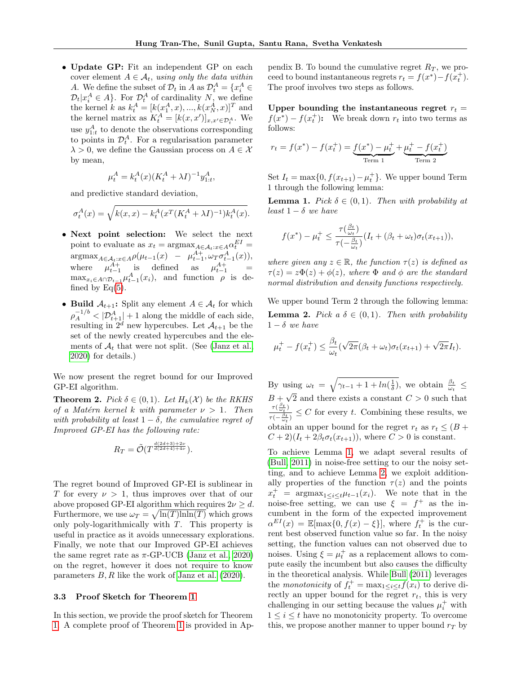• Update GP: Fit an independent GP on each cover element  $A \in \mathcal{A}_t$ , using only the data within A. We define the subset of  $\mathcal{D}_t$  in A as  $\mathcal{D}_t^A = \{x_i^A \in \mathcal{D}_t\}$  $\mathcal{D}_t|x_i^A \in A$ . For  $\mathcal{D}_t^A$  of cardinality N, we define the kernel k as  $k_t^A = [k(x_1^A, x), ..., k(x_N^A, x)]^T$  and the kernel matrix as  $K_t^A = [k(x, x')]_{x, x' \in \mathcal{D}_t^A}$ . We use  $y_{1:t}^A$  to denote the observations corresponding to points in  $\mathcal{D}_t^A$ . For a regularisation parameter  $\lambda > 0$ , we define the Gaussian process on  $A \in \mathcal{X}$ by mean,

$$
\mu_t^A = k_t^A(x)(K_t^A + \lambda I)^{-1} y_{1:t}^A,
$$

and predictive standard deviation,

$$
\sigma_t^A(x) = \sqrt{k(x, x) - k_t^A (x^T (K_t^A + \lambda I)^{-1}) k_t^A(x)}.
$$

- Next point selection: We select the next point to evaluate as  $x_t = \text{argmax}_{A \in \mathcal{A}_t: x \in A} \alpha_t^{EI}$  $\arg \max_{A \in \mathcal{A}_t : x \in A} \rho(\mu_{t-1}(x) - \mu_{t-1}^{A+}, \omega_T \sigma_{t-1}^A(x)),$ where  $\mu_{t-1}^{A+}$  is defined as  $\mu_{t-1}^{A+}$  =  $\max_{x_i \in A \cap \mathcal{D}_{t-1}} \mu_{t-1}^A(x_i)$ , and function  $\rho$  is defined by  $Eq(5)$  $Eq(5)$ .
- Build  $A_{t+1}$ : Split any element  $A \in \mathcal{A}_t$  for which  $\rho_A^{-1/b} < |\mathcal{D}_{t+1}^A| + 1$  along the middle of each side, resulting in  $2^d$  new hypercubes. Let  $\mathcal{A}_{t+1}$  be the set of the newly created hypercubes and the elements of  $\mathcal{A}_t$  that were not split. (See [\(Janz et al.,](#page-9-15) [2020\)](#page-9-15) for details.)

We now present the regret bound for our Improved GP-EI algorithm.

<span id="page-4-2"></span>**Theorem 2.** Pick  $\delta \in (0,1)$ . Let  $H_k(\mathcal{X})$  be the RKHS of a Matérn kernel k with parameter  $\nu > 1$ . Then with probability at least  $1 - \delta$ , the cumulative regret of Improved GP-EI has the following rate:

$$
R_T = \tilde{\mathcal{O}}(T^{\frac{d(2d+3)+2\nu}{d(2d+4)+4\nu}}).
$$

The regret bound of Improved GP-EI is sublinear in T for every  $\nu > 1$ , thus improves over that of our above proposed GP-EI algorithm which requires  $2\nu \geq d$ . Furthermore, we use  $\omega_T = \sqrt{\ln(T)\ln\ln(T)}$  which grows only poly-logarithmically with  $T$ . This property is useful in practice as it avoids unnecessary explorations. Finally, we note that our Improved GP-EI achieves the same regret rate as  $\pi$ -GP-UCB [\(Janz et al., 2020\)](#page-9-15) on the regret, however it does not require to know parameters  $B, R$  like the work of [Janz et al. \(2020\)](#page-9-15).

#### 3.3 Proof Sketch for Theorem [1](#page-3-0)

In this section, we provide the proof sketch for Theorem [1.](#page-3-0) A complete proof of Theorem [1](#page-3-0) is provided in Appendix B. To bound the cumulative regret  $R_T$ , we proceed to bound instantaneous regrets  $r_t = f(x^*) - f(x_t^+)$ . The proof involves two steps as follows.

Upper bounding the instantaneous regret  $r_t =$  $f(x^*) - f(x_t^+)$ : We break down  $r_t$  into two terms as follows:

$$
r_t = f(x^*) - f(x_t^+) = \underbrace{f(x^*) - \mu_t^+}_{\text{Term 1}} + \underbrace{\mu_t^+ - f(x_t^+)}_{\text{Term 2}}
$$

Set  $I_t = \max\{0, f(x_{t+1}) - \mu_t^+\}$ . We upper bound Term 1 through the following lemma:

<span id="page-4-0"></span>**Lemma 1.** Pick  $\delta \in (0,1)$ . Then with probability at least  $1 - \delta$  we have

$$
f(x^*) - \mu_t^+ \leq \frac{\tau(\frac{\beta_t}{\omega_t})}{\tau(-\frac{\beta_t}{\omega_t})}(I_t + (\beta_t + \omega_t)\sigma_t(x_{t+1})),
$$

where given any  $z \in \mathbb{R}$ , the function  $\tau(z)$  is defined as  $\tau(z) = z\Phi(z) + \phi(z)$ , where  $\Phi$  and  $\phi$  are the standard normal distribution and density functions respectively.

<span id="page-4-1"></span>We upper bound Term 2 through the following lemma: **Lemma 2.** Pick  $a \delta \in (0,1)$ . Then with probability  $1 - \delta$  we have

$$
\mu_t^+ - f(x_t^+) \le \frac{\beta_t}{\omega_t} (\sqrt{2\pi}(\beta_t + \omega_t)\sigma_t(x_{t+1}) + \sqrt{2\pi}I_t).
$$

By using  $\omega_t = \sqrt{\gamma_{t-1} + 1 + \ln(\frac{1}{\delta})}$ , we obtain  $\frac{\beta_t}{\omega_t} \leq$  $B + \sqrt{2}$  and there exists a constant  $C > 0$  such that  $\tau(\frac{\beta_t}{\omega_t})$  $\frac{f(\omega_t)}{\tau(-\frac{\beta_t}{\omega_t})} \leq C$  for every t. Combining these results, we obtain an upper bound for the regret  $r_t$  as  $r_t \leq (B +$  $C + 2(I_t + 2\beta_t \sigma_t(x_{t+1}))$ , where  $C > 0$  is constant.

To achieve Lemma [1,](#page-4-0) we adapt several results of [\(Bull, 2011\)](#page-8-4) in noise-free setting to our the noisy setting, and to achieve Lemma [2,](#page-4-1) we exploit additionally properties of the function  $\tau(z)$  and the points  $x_t^+$  = argmax<sub>1≤i≤t</sub> $\mu_{t-1}(x_i)$ . We note that in the noise-free setting, we can use  $\xi = f^+$  as the incumbent in the form of the expected improvement  $\alpha^{EI}(x) = \mathbb{E}[\max\{0, f(x) - \xi\}],$  where  $f_t^+$  is the current best observed function value so far. In the noisy setting, the function values can not observed due to noises. Using  $\xi = \mu_t^+$  as a replacement allows to compute easily the incumbent but also causes the difficulty in the theoretical analysis. While [Bull \(2011\)](#page-8-4) leverages the monotonicity of  $f_t^+ = \max_{1 \leq i \leq t} f(x_i)$  to derive directly an upper bound for the regret  $r_t$ , this is very challenging in our setting because the values  $\mu_i^+$  with  $1 \leq i \leq t$  have no monotonicity property. To overcome this, we propose another manner to upper bound  $r<sub>T</sub>$  by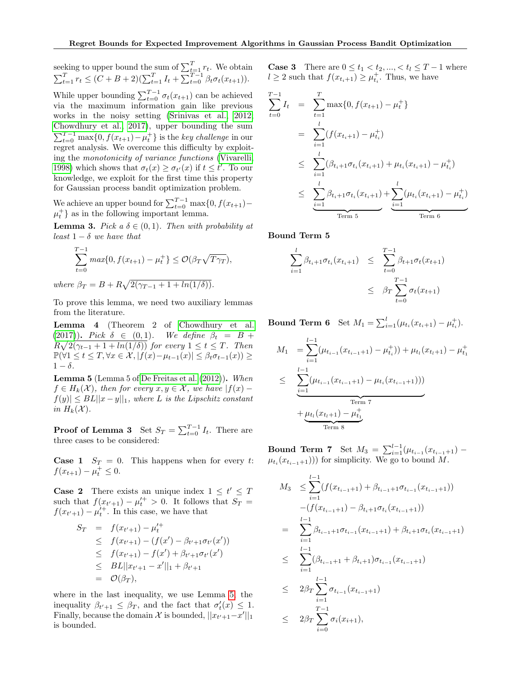seeking to upper bound the sum of  $\sum_{t=1}^{T} r_t$ . We obtain  $\sum_{t=1}^{T} r_t \leq (C+B+2)(\sum_{t=1}^{T} I_t + \sum_{t=0}^{T-1} \beta_t \sigma_t(x_{t+1})).$ While upper bounding  $\sum_{t=0}^{T-1} \sigma_t(x_{t+1})$  can be achieved via the maximum information gain like previous works in the noisy setting [\(Srinivas et al., 2012;](#page-9-14) [Chowdhury et al., 2017\)](#page-8-5), upper bounding the sum  $\sum_{t=0}^{T-1} \max\{0, f(x_{t+1}) - \mu_t^+\}$  is the key challenge in our regret analysis. We overcome this difficulty by exploiting the monotonicity of variance functions [\(Vivarelli,](#page-10-4) [1998\)](#page-10-4) which shows that  $\sigma_t(x) \geq \sigma_{t'}(x)$  if  $t \leq t'$ . To our knowledge, we exploit for the first time this property for Gaussian process bandit optimization problem.

We achieve an upper bound for  $\sum_{t=0}^{T-1} \max\{0, f(x_{t+1})-\}$  $\mu_t^+$  as in the following important lemma.

**Lemma 3.** Pick  $a \delta \in (0,1)$ . Then with probability at least  $1 - \delta$  we have that

$$
\sum_{t=0}^{T-1} \max\{0, f(x_{t+1}) - \mu_t^+\} \le \mathcal{O}(\beta_T \sqrt{T\gamma_T}),
$$

where  $\beta_T = B + R\sqrt{2(\gamma_{T-1} + 1 + \ln(1/\delta))}$ .

To prove this lemma, we need two auxiliary lemmas from the literature.

<span id="page-5-1"></span>Lemma 4 (Theorem 2 of [Chowdhury et al.](#page-8-5) [\(2017\)](#page-8-5)). Pick  $\delta \in (0,1)$ . We define  $\beta_t = B +$  $R\sqrt{2(\gamma_{t-1}+1+ln(1/\delta))}$  for every  $1 \leq t \leq T$ . Then  $\mathbb{P}(\forall 1 \leq t \leq T, \forall x \in \mathcal{X}, |f(x)-\mu_{t-1}(x)| \leq \beta_t \sigma_{t-1}(x)) \geq$  $1 - \delta$ .

<span id="page-5-0"></span>Lemma 5 (Lemma 5 of [De Freitas et al. \(2012\)](#page-8-3)). When  $f \in H_k(\mathcal{X})$ , then for every  $x, y \in \mathcal{X}$ , we have  $|f(x) |f(y)| \leq BL||x-y||_1$ , where L is the Lipschitz constant in  $H_k(\mathcal{X})$ .

**Proof of Lemma 3** Set  $S_T = \sum_{t=0}^{T-1} I_t$ . There are three cases to be considered:

**Case 1**  $S_T = 0$ . This happens when for every t:  $f(x_{t+1}) - \mu_t^+ \leq 0.$ 

**Case 2** There exists an unique index  $1 \leq t' \leq T$ such that  $f(x_{t'+1}) - \mu_t'^+ > 0$ . It follows that  $S_T =$  $f(x_{t'+1}) - \mu_t^{t+}$ . In this case, we have that

$$
S_T = f(x_{t'+1}) - \mu_t^{\prime +}
$$
  
\n
$$
\leq f(x_{t'+1}) - (f(x') - \beta_{t'+1}\sigma_{t'}(x'))
$$
  
\n
$$
\leq f(x_{t'+1}) - f(x') + \beta_{t'+1}\sigma_{t'}(x')
$$
  
\n
$$
\leq BL||x_{t'+1} - x'||_1 + \beta_{t'+1}
$$
  
\n
$$
= O(\beta_T),
$$

where in the last inequality, we use Lemma [5,](#page-5-0) the inequality  $\beta_{t'+1} \leq \beta_T$ , and the fact that  $\sigma'_t(x) \leq 1$ . Finally, because the domain  $\mathcal X$  is bounded,  $||x_{t'+1} - x'||_1$ is bounded.

**Case 3** There are  $0 \le t_1 < t_2, ..., < t_l \le T-1$  where  $l \geq 2$  such that  $f(x_{t_i+1}) \geq \mu_{t_i}^+$ . Thus, we have

$$
\sum_{t=0}^{T-1} I_t = \sum_{t=1}^{T} \max\{0, f(x_{t+1}) - \mu_t^+\}
$$
  
\n
$$
= \sum_{i=1}^{l} (f(x_{t_i+1}) - \mu_{t_i}^+)
$$
  
\n
$$
\leq \sum_{i=1}^{l} (\beta_{t_i+1} \sigma_{t_i}(x_{t_i+1}) + \mu_{t_i}(x_{t_i+1}) - \mu_{t_i}^+)
$$
  
\n
$$
\leq \underbrace{\sum_{i=1}^{l} \beta_{t_i+1} \sigma_{t_i}(x_{t_i+1})}_{\text{Term 5}} + \underbrace{\sum_{i=1}^{l} (\mu_{t_i}(x_{t_i+1}) - \mu_{t_i}^+)}_{\text{Term 6}}
$$

Bound Term 5

$$
\sum_{i=1}^{l} \beta_{t_i+1} \sigma_{t_i}(x_{t_i+1}) \leq \sum_{t=0}^{T-1} \beta_{t+1} \sigma_{t}(x_{t+1})
$$
\n
$$
\leq \beta_T \sum_{t=0}^{T-1} \sigma_{t}(x_{t+1})
$$

**Bound Term 6** Set  $M_1 = \sum_{i=1}^{l} (\mu_{t_i}(x_{t_i+1}) - \mu_{t_i}^+).$ 

$$
M_1 = \sum_{i=1}^{l-1} (\mu_{t_{i-1}}(x_{t_{i-1}+1}) - \mu_{t_i}^+) + \mu_{t_l}(x_{t_l+1}) - \mu_{t_1}^+
$$
  
\n
$$
\leq \sum_{i=1}^{l-1} (\mu_{t_{i-1}}(x_{t_{i-1}+1}) - \mu_{t_i}(x_{t_{i-1}+1})))
$$
  
\nTerm 7  
\n
$$
+ \underbrace{\mu_{t_l}(x_{t_l+1}) - \mu_{t_1}^+}_{\text{Term 8}}
$$

Bound Term 7 Set  $M_3 = \sum_{i=1}^{l-1} (\mu_{t_{i-1}}(x_{t_{i-1}+1}) \mu_{t_i}(x_{t_{i-1}+1}))$  for simplicity. We go to bound M.

$$
M_3 \leq \sum_{i=1}^{l-1} (f(x_{t_{i-1}+1}) + \beta_{t_{i-1}+1}\sigma_{t_{i-1}}(x_{t_{i-1}+1}))
$$
  
\n
$$
-(f(x_{t_{i-1}+1}) - \beta_{t_i+1}\sigma_{t_i}(x_{t_{i-1}+1}))
$$
  
\n
$$
= \sum_{i=1}^{l-1} \beta_{t_{i-1}+1}\sigma_{t_{i-1}}(x_{t_{i-1}+1}) + \beta_{t_i+1}\sigma_{t_i}(x_{t_{i-1}+1})
$$
  
\n
$$
\leq \sum_{i=1}^{l-1} (\beta_{t_{i-1}+1} + \beta_{t_{i}+1})\sigma_{t_{i-1}}(x_{t_{i-1}+1})
$$
  
\n
$$
\leq 2\beta_T \sum_{i=1}^{l-1} \sigma_{t_{i-1}}(x_{t_{i-1}+1})
$$
  
\n
$$
\leq 2\beta_T \sum_{i=0}^{T-1} \sigma_i(x_{i+1}),
$$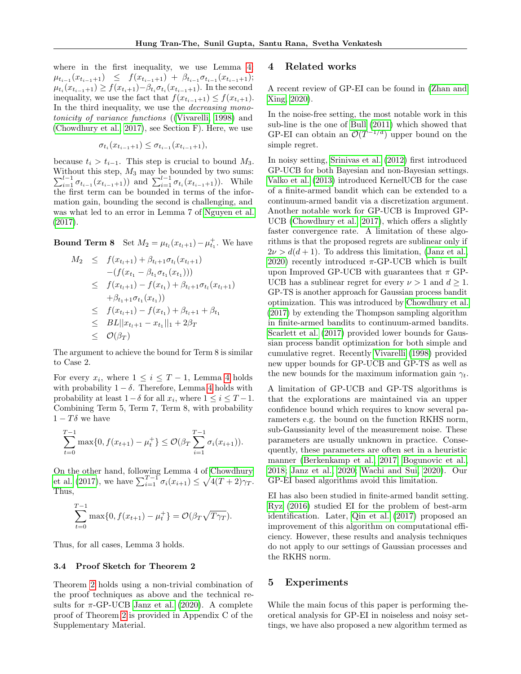where in the first inequality, we use Lemma [4:](#page-5-1)  $\mu_{t_{i-1}}(x_{t_{i-1}+1}) \leq f(x_{t_{i-1}+1}) + \beta_{t_{i-1}}\sigma_{t_{i-1}}(x_{t_{i-1}+1});$  $\mu_{t_i}(x_{t_{i-1}+1}) \ge f(x_{t_i+1}) - \beta_{t_i} \sigma_{t_i}(x_{t_{i-1}+1})$ . In the second inequality, we use the fact that  $f(x_{t_{i-1}+1}) \leq f(x_{t_i+1})$ . In the third inequality, we use the *decreasing mono*tonicity of variance functions ([\(Vivarelli, 1998\)](#page-10-4) and [\(Chowdhury et al., 2017\)](#page-8-5), see Section F). Here, we use

$$
\sigma_{t_i}(x_{t_{i-1}+1}) \leq \sigma_{t_{i-1}}(x_{t_{i-1}+1}),
$$

because  $t_i > t_{i-1}$ . This step is crucial to bound  $M_3$ . Without this step, P ithout this step,  $M_3$  may be bounded by two sums:<br>  $\sum_{i=1}^{l-1} \sigma_{t_{i-1}}(x_{t_{i-1}+1})$  and  $\sum_{i=1}^{l-1} \sigma_{t_i}(x_{t_{i-1}+1})$ . While the first term can be bounded in terms of the information gain, bounding the second is challenging, and was what led to an error in Lemma 7 of [Nguyen et al.](#page-9-11) [\(2017\)](#page-9-11).

**Bound Term 8** Set  $M_2 = \mu_{t_l}(x_{t_l+1}) - \mu_{t_1}^+$ . We have

$$
M_2 \leq f(x_{t_1+1}) + \beta_{t_1+1} \sigma_{t_1}(x_{t_1+1})
$$
  
\n
$$
-(f(x_{t_1} - \beta_{t_1} \sigma_{t_1}(x_{t_1})))
$$
  
\n
$$
\leq f(x_{t_1+1}) - f(x_{t_1}) + \beta_{t_1+1} \sigma_{t_1}(x_{t_1+1})
$$
  
\n
$$
+ \beta_{t_1+1} \sigma_{t_1}(x_{t_1})
$$
  
\n
$$
\leq f(x_{t_1+1}) - f(x_{t_1}) + \beta_{t_1+1} + \beta_{t_1}
$$
  
\n
$$
\leq B L ||x_{t_1+1} - x_{t_1}||_1 + 2\beta_T
$$
  
\n
$$
\leq \mathcal{O}(\beta_T)
$$

The argument to achieve the bound for Term 8 is similar to Case 2.

For every  $x_i$ , where  $1 \leq i \leq T-1$ , Lemma [4](#page-5-1) holds with probability  $1 - \delta$ . Therefore, Lemma [4](#page-5-1) holds with probability at least  $1-\delta$  for all  $x_i$ , where  $1 \leq i \leq T-1$ . Combining Term 5, Term 7, Term 8, with probability  $1-T\delta$  we have

$$
\sum_{t=0}^{T-1} \max\{0, f(x_{t+1}) - \mu_t^+\} \le \mathcal{O}(\beta_T \sum_{i=1}^{T-1} \sigma_i(x_{i+1})).
$$

On the other hand, following Lemma 4 of [Chowdhury](#page-8-5) [et al. \(2017\)](#page-8-5), we have  $\sum_{i=1}^{T-1} \sigma_i(x_{i+1}) \leq \sqrt{4(T+2)\gamma_T}$ . Thus,

$$
\sum_{t=0}^{T-1} \max\{0, f(x_{t+1}) - \mu_t^+\} = \mathcal{O}(\beta_T \sqrt{T\gamma_T}).
$$

Thus, for all cases, Lemma 3 holds.

### 3.4 Proof Sketch for Theorem 2

Theorem [2](#page-4-2) holds using a non-trivial combination of the proof techniques as above and the technical results for  $\pi$ -GP-UCB [Janz et al. \(2020\)](#page-9-15). A complete proof of Theorem [2](#page-4-2) is provided in Appendix C of the Supplementary Material.

## 4 Related works

A recent review of GP-EI can be found in [\(Zhan and](#page-10-5) [Xing, 2020\)](#page-10-5).

In the noise-free setting, the most notable work in this sub-line is the one of [Bull \(2011\)](#page-8-4) which showed that GP-EI can obtain an  $\mathcal{O}(T^{-1/d})$  upper bound on the simple regret.

In noisy setting, [Srinivas et al. \(2012\)](#page-9-14) first introduced GP-UCB for both Bayesian and non-Bayesian settings. [Valko et al. \(2013\)](#page-10-6) introduced KernelUCB for the case of a finite-armed bandit which can be extended to a continuum-armed bandit via a discretization argument. Another notable work for GP-UCB is Improved GP-UCB [\(Chowdhury et al., 2017\)](#page-8-5), which offers a slightly faster convergence rate. A limitation of these algorithms is that the proposed regrets are sublinear only if  $2\nu > d(d+1)$ . To address this limitation, [\(Janz et al.,](#page-9-15) [2020\)](#page-9-15) recently introduced  $\pi$ -GP-UCB which is built upon Improved GP-UCB with guarantees that  $\pi$  GP-UCB has a sublinear regret for every  $\nu > 1$  and  $d \geq 1$ . GP-TS is another approach for Gaussian process bandit optimization. This was introduced by [Chowdhury et al.](#page-8-5) [\(2017\)](#page-8-5) by extending the Thompson sampling algorithm in finite-armed bandits to continuum-armed bandits. [Scarlett et al. \(2017\)](#page-9-4) provided lower bounds for Gaussian process bandit optimization for both simple and cumulative regret. Recently [Vivarelli \(1998\)](#page-10-4) provided new upper bounds for GP-UCB and GP-TS as well as the new bounds for the maximum information gain  $\gamma_t$ .

A limitation of GP-UCB and GP-TS algorithms is that the explorations are maintained via an upper confidence bound which requires to know several parameters e.g. the bound on the function RKHS norm, sub-Gaussianity level of the measurement noise. These parameters are usually unknown in practice. Consequently, these parameters are often set in a heuristic manner [\(Berkenkamp et al., 2017;](#page-8-10) [Bogunovic et al.,](#page-8-11) [2018;](#page-8-11) [Janz et al., 2020;](#page-9-15) [Wachi and Sui, 2020\)](#page-10-7). Our GP-EI based algorithms avoid this limitation.

EI has also been studied in finite-armed bandit setting. [Ryz \(2016\)](#page-8-12) studied EI for the problem of best-arm identification. Later, [Qin et al. \(2017\)](#page-9-7) proposed an improvement of this algorithm on computational efficiency. However, these results and analysis techniques do not apply to our settings of Gaussian processes and the RKHS norm.

# 5 Experiments

While the main focus of this paper is performing theoretical analysis for GP-EI in noiseless and noisy settings, we have also proposed a new algorithm termed as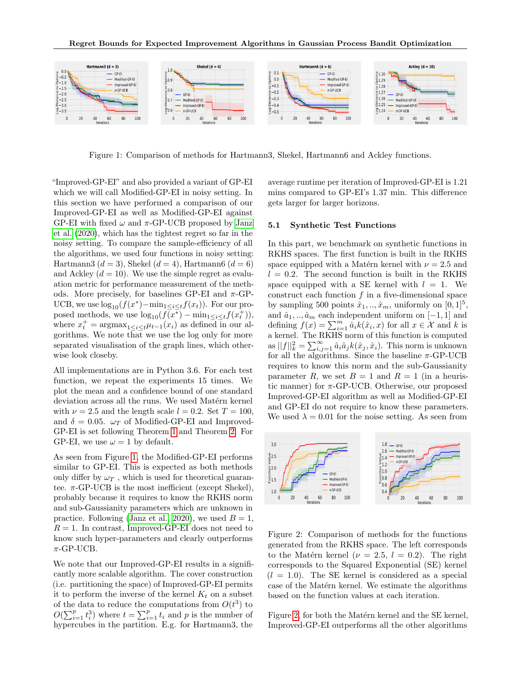

<span id="page-7-0"></span>Figure 1: Comparison of methods for Hartmann3, Shekel, Hartmann6 and Ackley functions.

"Improved-GP-EI" and also provided a variant of GP-EI which we will call Modified-GP-EI in noisy setting. In this section we have performed a comparison of our Improved-GP-EI as well as Modified-GP-EI against GP-EI with fixed  $\omega$  and  $\pi$ -GP-UCB proposed by [Janz](#page-9-15) [et al. \(2020\)](#page-9-15), which has the tightest regret so far in the noisy setting. To compare the sample-efficiency of all the algorithms, we used four functions in noisy setting: Hartmann3 ( $d = 3$ ), Shekel ( $d = 4$ ), Hartmann6 ( $d = 6$ ) and Ackley  $(d = 10)$ . We use the simple regret as evaluation metric for performance measurement of the methods. More precisely, for baselines GP-EI and  $\pi$ -GP-UCB, we use  $\log_{10}(f(x^*) - \min_{1 \le i \le t} f(x_t))$ . For our proposed methods, we use  $\log_{10}(f(x^*) - \min_{1 \leq i \leq t} f(x_t^+)),$ where  $x_t^+$  = argmax<sub>1≤i≤t</sub> $\mu_{t-1}(x_i)$  as defined in our algorithms. We note that we use the log only for more separated visualisation of the graph lines, which otherwise look closeby.

All implementations are in Python 3.6. For each test function, we repeat the experiments 15 times. We plot the mean and a confidence bound of one standard deviation across all the runs. We used Matérn kernel with  $\nu = 2.5$  and the length scale  $l = 0.2$ . Set  $T = 100$ , and  $\delta = 0.05$ .  $\omega_T$  of Modified-GP-EI and Improved-GP-EI is set following Theorem [1](#page-3-0) and Theorem [2.](#page-4-2) For GP-EI, we use  $\omega = 1$  by default.

As seen from Figure [1,](#page-7-0) the Modified-GP-EI performs similar to GP-EI. This is expected as both methods only differ by  $\omega_T$ , which is used for theoretical guarantee.  $\pi$ -GP-UCB is the most inefficient (except Shekel), probably because it requires to know the RKHS norm and sub-Gaussianity parameters which are unknown in practice. Following [\(Janz et al., 2020\)](#page-9-15), we used  $B = 1$ ,  $R = 1$ . In contrast, Improved-GP-EI does not need to know such hyper-parameters and clearly outperforms  $\pi$ -GP-UCB.

We note that our Improved-GP-EI results in a significantly more scalable algorithm. The cover construction (i.e. partitioning the space) of Improved-GP-EI permits it to perform the inverse of the kernel  $K_t$  on a subset of the data to reduce the computations from  $O(t^3)$  to  $O(\sum_{i=1}^p t_i^3)$  where  $t = \sum_{i=1}^p t_i$  and p is the number of hypercubes in the partition. E.g. for Hartmann3, the average runtime per iteration of Improved-GP-EI is 1.21 mins compared to GP-EI's 1.37 min. This difference gets larger for larger horizons.

### 5.1 Synthetic Test Functions

In this part, we benchmark on synthetic functions in RKHS spaces. The first function is built in the RKHS space equipped with a Matérn kernel with  $\nu = 2.5$  and  $l = 0.2$ . The second function is built in the RKHS space equipped with a SE kernel with  $l = 1$ . We construct each function  $f$  in a five-dimensional space by sampling 500 points  $\hat{x}_1, \dots, \hat{x}_m$ , uniformly on  $[0, 1]^5$ , and  $\hat{a}_1, \dots, \hat{a}_m$  each independent uniform on [−1, 1] and defining  $f(x) = \sum_{i=1}^{m} \hat{a}_i k(\hat{x}_i, x)$  for all  $x \in \mathcal{X}$  and k is a kernel. The RKHS norm of this function is computed as  $||f||_k^2 = \sum_{i,j=1}^{\infty} \hat{a}_i \hat{a}_j k(\hat{x}_j, \hat{x}_i)$ . This norm is unknown for all the algorithms. Since the baseline  $\pi$ -GP-UCB requires to know this norm and the sub-Gaussianity parameter R, we set  $B = 1$  and  $R = 1$  (in a heuristic manner) for  $\pi$ -GP-UCB. Otherwise, our proposed Improved-GP-EI algorithm as well as Modified-GP-EI and GP-EI do not require to know these parameters. We used  $\lambda = 0.01$  for the noise setting. As seen from



<span id="page-7-1"></span>Figure 2: Comparison of methods for the functions generated from the RKHS space. The left corresponds to the Matérn kernel ( $\nu = 2.5$ ,  $l = 0.2$ ). The right corresponds to the Squared Exponential (SE) kernel  $(l = 1.0)$ . The SE kernel is considered as a special case of the Matérn kernel. We estimate the algorithms based on the function values at each iteration.

Figure [2,](#page-7-1) for both the Matérn kernel and the SE kernel, Improved-GP-EI outperforms all the other algorithms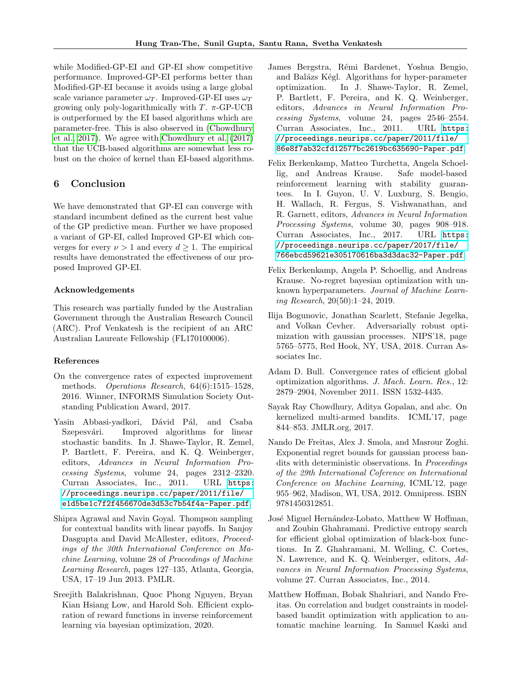while Modified-GP-EI and GP-EI show competitive performance. Improved-GP-EI performs better than Modified-GP-EI because it avoids using a large global scale variance parameter  $\omega_T$ . Improved-GP-EI uses  $\omega_T$ growing only poly-logarithmically with  $T$ .  $\pi$ -GP-UCB is outperformed by the EI based algorithms which are parameter-free. This is also observed in [\(Chowdhury](#page-8-5) [et al., 2017\)](#page-8-5). We agree with [Chowdhury et al. \(2017\)](#page-8-5) that the UCB-based algorithms are somewhat less robust on the choice of kernel than EI-based algorithms.

# 6 Conclusion

We have demonstrated that GP-EI can converge with standard incumbent defined as the current best value of the GP predictive mean. Further we have proposed a variant of GP-EI, called Improved GP-EI which converges for every  $\nu > 1$  and every  $d \geq 1$ . The empirical results have demonstrated the effectiveness of our proposed Improved GP-EI.

### Acknowledgements

This research was partially funded by the Australian Government through the Australian Research Council (ARC). Prof Venkatesh is the recipient of an ARC Australian Laureate Fellowship (FL170100006).

### References

- <span id="page-8-12"></span>On the convergence rates of expected improvement methods. Operations Research, 64(6):1515–1528, 2016. Winner, INFORMS Simulation Society Outstanding Publication Award, 2017.
- <span id="page-8-8"></span>Yasin Abbasi-yadkori, Dávid Pál, and Csaba Szepesvári. Improved algorithms for linear stochastic bandits. In J. Shawe-Taylor, R. Zemel, P. Bartlett, F. Pereira, and K. Q. Weinberger, editors, Advances in Neural Information Processing Systems, volume 24, pages 2312–2320. Curran Associates, Inc., 2011. URL [https:](https://proceedings.neurips.cc/paper/2011/file/e1d5be1c7f2f456670de3d53c7b54f4a-Paper.pdf) [//proceedings.neurips.cc/paper/2011/file/](https://proceedings.neurips.cc/paper/2011/file/e1d5be1c7f2f456670de3d53c7b54f4a-Paper.pdf) [e1d5be1c7f2f456670de3d53c7b54f4a-Paper.pdf](https://proceedings.neurips.cc/paper/2011/file/e1d5be1c7f2f456670de3d53c7b54f4a-Paper.pdf).
- <span id="page-8-6"></span>Shipra Agrawal and Navin Goyal. Thompson sampling for contextual bandits with linear payoffs. In Sanjoy Dasgupta and David McAllester, editors, Proceedings of the 30th International Conference on Machine Learning, volume 28 of Proceedings of Machine Learning Research, pages 127–135, Atlanta, Georgia, USA, 17–19 Jun 2013. PMLR.
- <span id="page-8-2"></span>Sreejith Balakrishnan, Quoc Phong Nguyen, Bryan Kian Hsiang Low, and Harold Soh. Efficient exploration of reward functions in inverse reinforcement learning via bayesian optimization, 2020.
- <span id="page-8-0"></span>James Bergstra, Rémi Bardenet, Yoshua Bengio, and Balázs Kégl. Algorithms for hyper-parameter optimization. In J. Shawe-Taylor, R. Zemel, P. Bartlett, F. Pereira, and K. Q. Weinberger, editors, Advances in Neural Information Processing Systems, volume 24, pages 2546–2554. Curran Associates, Inc., 2011. URL [https:](https://proceedings.neurips.cc/paper/2011/file/86e8f7ab32cfd12577bc2619bc635690-Paper.pdf) [//proceedings.neurips.cc/paper/2011/file/](https://proceedings.neurips.cc/paper/2011/file/86e8f7ab32cfd12577bc2619bc635690-Paper.pdf) [86e8f7ab32cfd12577bc2619bc635690-Paper.pdf](https://proceedings.neurips.cc/paper/2011/file/86e8f7ab32cfd12577bc2619bc635690-Paper.pdf).
- <span id="page-8-10"></span>Felix Berkenkamp, Matteo Turchetta, Angela Schoellig, and Andreas Krause. Safe model-based reinforcement learning with stability guarantees. In I. Guyon, U. V. Luxburg, S. Bengio, H. Wallach, R. Fergus, S. Vishwanathan, and R. Garnett, editors, Advances in Neural Information Processing Systems, volume 30, pages 908–918. Curran Associates, Inc., 2017. URL [https:](https://proceedings.neurips.cc/paper/2017/file/766ebcd59621e305170616ba3d3dac32-Paper.pdf) [//proceedings.neurips.cc/paper/2017/file/](https://proceedings.neurips.cc/paper/2017/file/766ebcd59621e305170616ba3d3dac32-Paper.pdf) [766ebcd59621e305170616ba3d3dac32-Paper.pdf](https://proceedings.neurips.cc/paper/2017/file/766ebcd59621e305170616ba3d3dac32-Paper.pdf).
- <span id="page-8-9"></span>Felix Berkenkamp, Angela P. Schoellig, and Andreas Krause. No-regret bayesian optimization with unknown hyperparameters. Journal of Machine Learning Research, 20(50):1–24, 2019.
- <span id="page-8-11"></span>Ilija Bogunovic, Jonathan Scarlett, Stefanie Jegelka, and Volkan Cevher. Adversarially robust optimization with gaussian processes. NIPS'18, page 5765–5775, Red Hook, NY, USA, 2018. Curran Associates Inc.
- <span id="page-8-4"></span>Adam D. Bull. Convergence rates of efficient global optimization algorithms. J. Mach. Learn. Res., 12: 2879–2904, November 2011. ISSN 1532-4435.
- <span id="page-8-5"></span>Sayak Ray Chowdhury, Aditya Gopalan, and abc. On kernelized multi-armed bandits. ICML'17, page 844–853. JMLR.org, 2017.
- <span id="page-8-3"></span>Nando De Freitas, Alex J. Smola, and Masrour Zoghi. Exponential regret bounds for gaussian process bandits with deterministic observations. In Proceedings of the 29th International Coference on International Conference on Machine Learning, ICML'12, page 955–962, Madison, WI, USA, 2012. Omnipress. ISBN 9781450312851.
- <span id="page-8-7"></span>José Miguel Hernández-Lobato, Matthew W Hoffman, and Zoubin Ghahramani. Predictive entropy search for efficient global optimization of black-box functions. In Z. Ghahramani, M. Welling, C. Cortes, N. Lawrence, and K. Q. Weinberger, editors, Advances in Neural Information Processing Systems, volume 27. Curran Associates, Inc., 2014.
- <span id="page-8-1"></span>Matthew Hoffman, Bobak Shahriari, and Nando Freitas. On correlation and budget constraints in modelbased bandit optimization with application to automatic machine learning. In Samuel Kaski and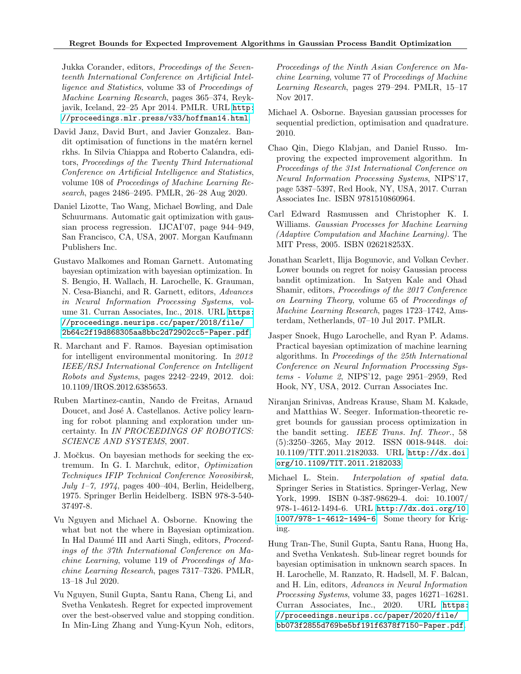Jukka Corander, editors, Proceedings of the Seventeenth International Conference on Artificial Intelligence and Statistics, volume 33 of Proceedings of Machine Learning Research, pages 365–374, Reykjavik, Iceland, 22–25 Apr 2014. PMLR. URL [http:](http://proceedings.mlr.press/v33/hoffman14.html) [//proceedings.mlr.press/v33/hoffman14.html](http://proceedings.mlr.press/v33/hoffman14.html).

- <span id="page-9-15"></span>David Janz, David Burt, and Javier Gonzalez. Bandit optimisation of functions in the matérn kernel rkhs. In Silvia Chiappa and Roberto Calandra, editors, Proceedings of the Twenty Third International Conference on Artificial Intelligence and Statistics, volume 108 of Proceedings of Machine Learning Research, pages 2486–2495. PMLR, 26–28 Aug 2020.
- <span id="page-9-0"></span>Daniel Lizotte, Tao Wang, Michael Bowling, and Dale Schuurmans. Automatic gait optimization with gaussian process regression. IJCAI'07, page 944–949, San Francisco, CA, USA, 2007. Morgan Kaufmann Publishers Inc.
- <span id="page-9-8"></span>Gustavo Malkomes and Roman Garnett. Automating bayesian optimization with bayesian optimization. In S. Bengio, H. Wallach, H. Larochelle, K. Grauman, N. Cesa-Bianchi, and R. Garnett, editors, Advances in Neural Information Processing Systems, volume 31. Curran Associates, Inc., 2018. URL [https:](https://proceedings.neurips.cc/paper/2018/file/2b64c2f19d868305aa8bbc2d72902cc5-Paper.pdf) [//proceedings.neurips.cc/paper/2018/file/](https://proceedings.neurips.cc/paper/2018/file/2b64c2f19d868305aa8bbc2d72902cc5-Paper.pdf) [2b64c2f19d868305aa8bbc2d72902cc5-Paper.pdf](https://proceedings.neurips.cc/paper/2018/file/2b64c2f19d868305aa8bbc2d72902cc5-Paper.pdf).
- <span id="page-9-2"></span>R. Marchant and F. Ramos. Bayesian optimisation for intelligent environmental monitoring. In 2012 IEEE/RSJ International Conference on Intelligent Robots and Systems, pages 2242–2249, 2012. doi: 10.1109/IROS.2012.6385653.
- <span id="page-9-1"></span>Ruben Martinez-cantin, Nando de Freitas, Arnaud Doucet, and José A. Castellanos. Active policy learning for robot planning and exploration under uncertainty. In IN PROCEEDINGS OF ROBOTICS: SCIENCE AND SYSTEMS, 2007.
- <span id="page-9-5"></span>J. Močkus. On bayesian methods for seeking the extremum. In G. I. Marchuk, editor, Optimization Techniques IFIP Technical Conference Novosibirsk, July 1–7, 1974, pages 400–404, Berlin, Heidelberg, 1975. Springer Berlin Heidelberg. ISBN 978-3-540- 37497-8.
- <span id="page-9-9"></span>Vu Nguyen and Michael A. Osborne. Knowing the what but not the where in Bayesian optimization. In Hal Daumé III and Aarti Singh, editors, *Proceed*ings of the 37th International Conference on Machine Learning, volume 119 of Proceedings of Machine Learning Research, pages 7317–7326. PMLR, 13–18 Jul 2020.
- <span id="page-9-11"></span>Vu Nguyen, Sunil Gupta, Santu Rana, Cheng Li, and Svetha Venkatesh. Regret for expected improvement over the best-observed value and stopping condition. In Min-Ling Zhang and Yung-Kyun Noh, editors,

Proceedings of the Ninth Asian Conference on Machine Learning, volume 77 of Proceedings of Machine Learning Research, pages 279–294. PMLR, 15–17 Nov 2017.

- <span id="page-9-6"></span>Michael A. Osborne. Bayesian gaussian processes for sequential prediction, optimisation and quadrature. 2010.
- <span id="page-9-7"></span>Chao Qin, Diego Klabjan, and Daniel Russo. Improving the expected improvement algorithm. In Proceedings of the 31st International Conference on Neural Information Processing Systems, NIPS'17, page 5387–5397, Red Hook, NY, USA, 2017. Curran Associates Inc. ISBN 9781510860964.
- <span id="page-9-13"></span>Carl Edward Rasmussen and Christopher K. I. Williams. Gaussian Processes for Machine Learning (Adaptive Computation and Machine Learning). The MIT Press, 2005. ISBN 026218253X.
- <span id="page-9-4"></span>Jonathan Scarlett, Ilija Bogunovic, and Volkan Cevher. Lower bounds on regret for noisy Gaussian process bandit optimization. In Satyen Kale and Ohad Shamir, editors, Proceedings of the 2017 Conference on Learning Theory, volume 65 of Proceedings of Machine Learning Research, pages 1723–1742, Amsterdam, Netherlands, 07–10 Jul 2017. PMLR.
- <span id="page-9-3"></span>Jasper Snoek, Hugo Larochelle, and Ryan P. Adams. Practical bayesian optimization of machine learning algorithms. In Proceedings of the 25th International Conference on Neural Information Processing Systems - Volume 2, NIPS'12, page 2951–2959, Red Hook, NY, USA, 2012. Curran Associates Inc.
- <span id="page-9-14"></span>Niranjan Srinivas, Andreas Krause, Sham M. Kakade, and Matthias W. Seeger. Information-theoretic regret bounds for gaussian process optimization in the bandit setting. IEEE Trans. Inf. Theor., 58 (5):3250–3265, May 2012. ISSN 0018-9448. doi: 10.1109/TIT.2011.2182033. URL [http://dx.doi.](http://dx.doi.org/10.1109/TIT.2011.2182033) [org/10.1109/TIT.2011.2182033](http://dx.doi.org/10.1109/TIT.2011.2182033).
- <span id="page-9-12"></span>Michael L. Stein. Interpolation of spatial data. Springer Series in Statistics. Springer-Verlag, New York, 1999. ISBN 0-387-98629-4. doi: 10.1007/ 978-1-4612-1494-6. URL [http://dx.doi.org/10.](http://dx.doi.org/10.1007/978-1-4612-1494-6) [1007/978-1-4612-1494-6](http://dx.doi.org/10.1007/978-1-4612-1494-6). Some theory for Kriging.
- <span id="page-9-10"></span>Hung Tran-The, Sunil Gupta, Santu Rana, Huong Ha, and Svetha Venkatesh. Sub-linear regret bounds for bayesian optimisation in unknown search spaces. In H. Larochelle, M. Ranzato, R. Hadsell, M. F. Balcan, and H. Lin, editors, Advances in Neural Information Processing Systems, volume 33, pages 16271–16281. Curran Associates, Inc., 2020. URL [https:](https://proceedings.neurips.cc/paper/2020/file/bb073f2855d769be5bf191f6378f7150-Paper.pdf) [//proceedings.neurips.cc/paper/2020/file/](https://proceedings.neurips.cc/paper/2020/file/bb073f2855d769be5bf191f6378f7150-Paper.pdf) [bb073f2855d769be5bf191f6378f7150-Paper.pdf](https://proceedings.neurips.cc/paper/2020/file/bb073f2855d769be5bf191f6378f7150-Paper.pdf).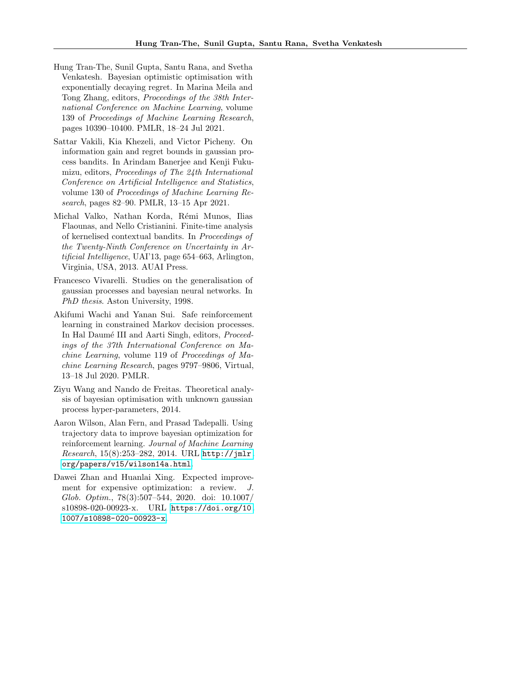- <span id="page-10-1"></span>Hung Tran-The, Sunil Gupta, Santu Rana, and Svetha Venkatesh. Bayesian optimistic optimisation with exponentially decaying regret. In Marina Meila and Tong Zhang, editors, Proceedings of the 38th International Conference on Machine Learning, volume 139 of Proceedings of Machine Learning Research, pages 10390–10400. PMLR, 18–24 Jul 2021.
- <span id="page-10-3"></span>Sattar Vakili, Kia Khezeli, and Victor Picheny. On information gain and regret bounds in gaussian process bandits. In Arindam Banerjee and Kenji Fukumizu, editors, Proceedings of The 24th International Conference on Artificial Intelligence and Statistics, volume 130 of Proceedings of Machine Learning Research, pages 82–90. PMLR, 13–15 Apr 2021.
- <span id="page-10-6"></span>Michal Valko, Nathan Korda, Rémi Munos, Ilias Flaounas, and Nello Cristianini. Finite-time analysis of kernelised contextual bandits. In Proceedings of the Twenty-Ninth Conference on Uncertainty in Artificial Intelligence, UAI'13, page 654–663, Arlington, Virginia, USA, 2013. AUAI Press.
- <span id="page-10-4"></span>Francesco Vivarelli. Studies on the generalisation of gaussian processes and bayesian neural networks. In PhD thesis. Aston University, 1998.
- <span id="page-10-7"></span>Akifumi Wachi and Yanan Sui. Safe reinforcement learning in constrained Markov decision processes. In Hal Daumé III and Aarti Singh, editors, Proceedings of the 37th International Conference on Machine Learning, volume 119 of Proceedings of Machine Learning Research, pages 9797–9806, Virtual, 13–18 Jul 2020. PMLR.
- <span id="page-10-2"></span>Ziyu Wang and Nando de Freitas. Theoretical analysis of bayesian optimisation with unknown gaussian process hyper-parameters, 2014.
- <span id="page-10-0"></span>Aaron Wilson, Alan Fern, and Prasad Tadepalli. Using trajectory data to improve bayesian optimization for reinforcement learning. Journal of Machine Learning Research, 15(8):253–282, 2014. URL [http://jmlr.](http://jmlr.org/papers/v15/wilson14a.html) [org/papers/v15/wilson14a.html](http://jmlr.org/papers/v15/wilson14a.html).
- <span id="page-10-5"></span>Dawei Zhan and Huanlai Xing. Expected improvement for expensive optimization: a review. J. Glob. Optim., 78(3):507–544, 2020. doi: 10.1007/ s10898-020-00923-x. URL [https://doi.org/10.](https://doi.org/10.1007/s10898-020-00923-x) [1007/s10898-020-00923-x](https://doi.org/10.1007/s10898-020-00923-x).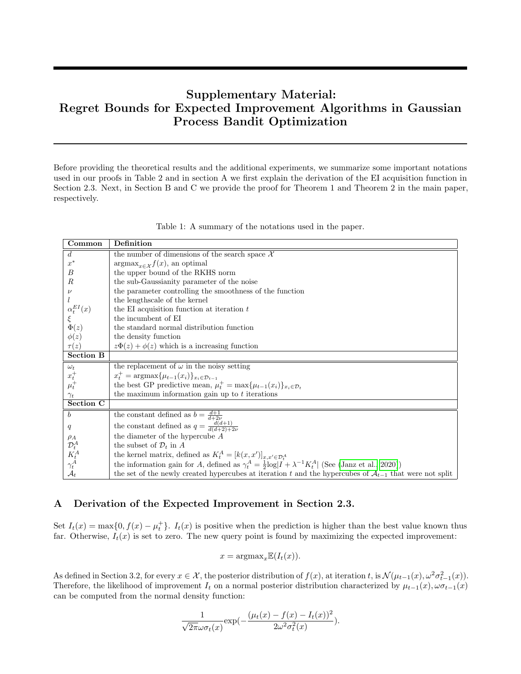# Supplementary Material: Regret Bounds for Expected Improvement Algorithms in Gaussian Process Bandit Optimization

Before providing the theoretical results and the additional experiments, we summarize some important notations used in our proofs in Table 2 and in section A we first explain the derivation of the EI acquisition function in Section 2.3. Next, in Section B and C we provide the proof for Theorem 1 and Theorem 2 in the main paper, respectively.

|  | Table 1: A summary of the notations used in the paper. |  |
|--|--------------------------------------------------------|--|
|  |                                                        |  |

| Common                                         | Definition                                                                                                                     |
|------------------------------------------------|--------------------------------------------------------------------------------------------------------------------------------|
| $\boldsymbol{d}$                               | the number of dimensions of the search space $\mathcal X$                                                                      |
| $x^*$                                          | $\arg\max_{x \in \mathcal{X}} f(x)$ , an optimal                                                                               |
| B                                              | the upper bound of the RKHS norm                                                                                               |
| $_{R}$                                         | the sub-Gaussianity parameter of the noise                                                                                     |
| $\nu$                                          | the parameter controlling the smoothness of the function                                                                       |
|                                                | the lengthscale of the kernel                                                                                                  |
| $\alpha_t^{EI}(x)$                             | the EI acquisition function at iteration $t$                                                                                   |
|                                                | the incumbent of EI                                                                                                            |
| $\Phi(z)$                                      | the standard normal distribution function                                                                                      |
| $\phi(z)$                                      | the density function                                                                                                           |
| $\tau(z)$                                      | $z\Phi(z) + \phi(z)$ which is a increasing function                                                                            |
| <b>Section B</b>                               |                                                                                                                                |
| $\omega_t$                                     | the replacement of $\omega$ in the noisy setting                                                                               |
| $x_t^+$                                        | $x_t^+ = \text{argmax} \{ \mu_{t-1}(x_i) \}_{x_i \in \mathcal{D}_{t-1}}$                                                       |
| $\mu_t^+$                                      | the best GP predictive mean, $\mu_t^+ = \max{\mu_{t-1}(x_i)}_{x_i \in \mathcal{D}_t}$                                          |
| $\gamma_t$                                     | the maximum information gain up to $t$ iterations                                                                              |
| Section C                                      |                                                                                                                                |
| $\boldsymbol{b}$                               | the constant defined as $b = \frac{d+1}{d+2\nu}$                                                                               |
| q                                              | the constant defined as $q = \frac{d(d+1)}{d(d+2)+2\nu}$                                                                       |
| $\rho_A$                                       | the diameter of the hypercube $A$                                                                                              |
|                                                | the subset of $\mathcal{D}_t$ in A                                                                                             |
|                                                | the kernel matrix, defined as $K_t^A = [k(x, x')]_{x, x' \in \mathcal{D}_t^A}$                                                 |
| $\mathcal{D}^A_t \over K^A_t \over \gamma^A_t$ | the information gain for A, defined as $\gamma_t^A = \frac{1}{2} \log \dot{I} + \lambda^{-1} K_t^A $ (See (Janz et al., 2020)) |
| $\mathcal{A}_t$                                | the set of the newly created hypercubes at iteration t and the hypercubes of $\mathcal{A}_{t-1}$ that were not split           |

## A Derivation of the Expected Improvement in Section 2.3.

Set  $I_t(x) = \max\{0, f(x) - \mu_t^+\}$ .  $I_t(x)$  is positive when the prediction is higher than the best value known thus far. Otherwise,  $I_t(x)$  is set to zero. The new query point is found by maximizing the expected improvement:

$$
x = \operatorname{argmax}_{x} \mathbb{E}(I_t(x)).
$$

As defined in Section 3.2, for every  $x \in \mathcal{X}$ , the posterior distribution of  $f(x)$ , at iteration t, is  $\mathcal{N}(\mu_{t-1}(x), \omega^2 \sigma_{t-1}^2(x))$ . Therefore, the likelihood of improvement  $I_t$  on a normal posterior distribution characterized by  $\mu_{t-1}(x), \omega \sigma_{t-1}(x)$ can be computed from the normal density function:

$$
\frac{1}{\sqrt{2\pi}\omega\sigma_t(x)}\exp(-\frac{(\mu_t(x)-f(x)-I_t(x))^2}{2\omega^2\sigma_t^2(x)}).
$$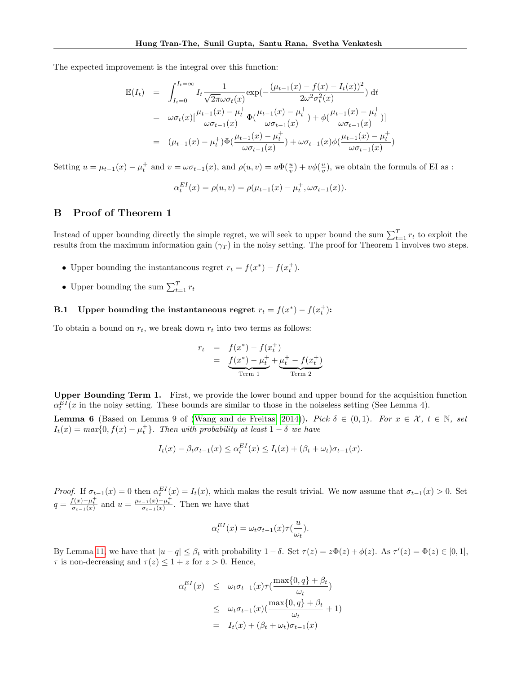The expected improvement is the integral over this function:

$$
\mathbb{E}(I_t) = \int_{I_t=0}^{I_t=\infty} I_t \frac{1}{\sqrt{2\pi}\omega\sigma_t(x)} \exp(-\frac{(\mu_{t-1}(x) - f(x) - I_t(x))^2}{2\omega^2\sigma_t^2(x)}) dt
$$
  
\n
$$
= \omega\sigma_t(x) \left[\frac{\mu_{t-1}(x) - \mu_t^+}{\omega\sigma_{t-1}(x)} \Phi(\frac{\mu_{t-1}(x) - \mu_t^+}{\omega\sigma_{t-1}(x)}) + \phi(\frac{\mu_{t-1}(x) - \mu_t^+}{\omega\sigma_{t-1}(x)})\right]
$$
  
\n
$$
= (\mu_{t-1}(x) - \mu_t^+) \Phi(\frac{\mu_{t-1}(x) - \mu_t^+}{\omega\sigma_{t-1}(x)}) + \omega\sigma_{t-1}(x) \phi(\frac{\mu_{t-1}(x) - \mu_t^+}{\omega\sigma_{t-1}(x)})
$$

Setting  $u = \mu_{t-1}(x) - \mu_t^+$  and  $v = \omega \sigma_{t-1}(x)$ , and  $\rho(u, v) = u \Phi(\frac{u}{v}) + v \phi(\frac{u}{v})$ , we obtain the formula of EI as :

$$
\alpha_t^{EI}(x) = \rho(u, v) = \rho(\mu_{t-1}(x) - \mu_t^+, \omega \sigma_{t-1}(x)).
$$

# B Proof of Theorem 1

Instead of upper bounding directly the simple regret, we will seek to upper bound the sum  $\sum_{t=1}^{T} r_t$  to exploit the results from the maximum information gain  $(\gamma_T)$  in the noisy setting. The proof for Theorem 1 involves two steps.

- Upper bounding the instantaneous regret  $r_t = f(x^*) f(x_t^+)$ .
- Upper bounding the sum  $\sum_{t=1}^{T} r_t$

# **B.1** Upper bounding the instantaneous regret  $r_t = f(x^*) - f(x_t^+)$ :

To obtain a bound on  $r_t$ , we break down  $r_t$  into two terms as follows:

$$
r_t = f(x^*) - f(x_t^+)
$$
  
= 
$$
\underbrace{f(x^*) - \mu_t^+}_{\text{Term 1}} + \underbrace{\mu_t^+ - f(x_t^+)}_{\text{Term 2}}
$$

Upper Bounding Term 1. First, we provide the lower bound and upper bound for the acquisition function  $\alpha_t^{EI}(x)$  in the noisy setting. These bounds are similar to those in the noiseless setting (See Lemma 4).

<span id="page-12-0"></span>**Lemma 6** (Based on Lemma 9 of [\(Wang and de Freitas, 2014\)](#page-10-2)). Pick  $\delta \in (0,1)$ . For  $x \in \mathcal{X}$ ,  $t \in \mathbb{N}$ , set  $I_t(x) = max\{0, f(x) - \mu_t^+\}$ . Then with probability at least  $1 - \delta$  we have

$$
I_t(x) - \beta_t \sigma_{t-1}(x) \le \alpha_t^{EI}(x) \le I_t(x) + (\beta_t + \omega_t) \sigma_{t-1}(x).
$$

*Proof.* If  $\sigma_{t-1}(x) = 0$  then  $\alpha_t^{EI}(x) = I_t(x)$ , which makes the result trivial. We now assume that  $\sigma_{t-1}(x) > 0$ . Set  $q = \frac{f(x) - \mu_t^+}{\sigma_{t-1}(x)}$  and  $u = \frac{\mu_{t-1}(x) - \mu_t^+}{\sigma_{t-1}(x)}$ . Then we have that

$$
\alpha_t^{EI}(x) = \omega_t \sigma_{t-1}(x) \tau(\frac{u}{\omega_t}).
$$

By Lemma [11,](#page-15-0) we have that  $|u-q| \leq \beta_t$  with probability  $1-\delta$ . Set  $\tau(z) = z\Phi(z) + \phi(z)$ . As  $\tau'(z) = \Phi(z) \in [0,1]$ ,  $\tau$  is non-decreasing and  $\tau(z) \leq 1 + z$  for  $z > 0$ . Hence,

$$
\alpha_t^{EI}(x) \leq \omega_t \sigma_{t-1}(x) \tau(\frac{\max\{0, q\} + \beta_t}{\omega_t})
$$
  

$$
\leq \omega_t \sigma_{t-1}(x) (\frac{\max\{0, q\} + \beta_t}{\omega_t} + 1)
$$
  

$$
= I_t(x) + (\beta_t + \omega_t) \sigma_{t-1}(x)
$$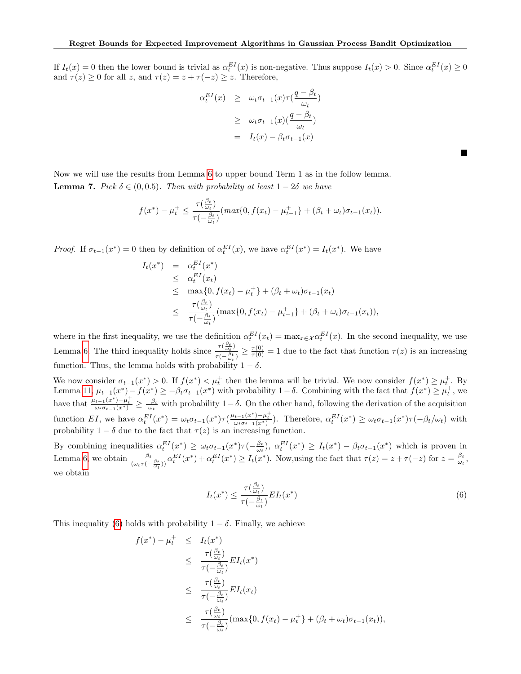If  $I_t(x) = 0$  then the lower bound is trivial as  $\alpha_t^{EI}(x)$  is non-negative. Thus suppose  $I_t(x) > 0$ . Since  $\alpha_t^{EI}(x) \ge 0$ and  $\tau(z) \geq 0$  for all z, and  $\tau(z) = z + \tau(-z) \geq z$ . Therefore,

$$
\alpha_t^{EI}(x) \geq \omega_t \sigma_{t-1}(x) \tau(\frac{q - \beta_t}{\omega_t})
$$
  
 
$$
\geq \omega_t \sigma_{t-1}(x) (\frac{q - \beta_t}{\omega_t})
$$
  
 
$$
= I_t(x) - \beta_t \sigma_{t-1}(x)
$$

<span id="page-13-1"></span>Now we will use the results from Lemma [6](#page-12-0) to upper bound Term 1 as in the follow lemma. **Lemma 7.** Pick  $\delta \in (0, 0.5)$ . Then with probability at least  $1 - 2\delta$  we have

$$
f(x^*) - \mu_t^+ \leq \frac{\tau(\frac{\beta_t}{\omega_t})}{\tau(-\frac{\beta_t}{\omega_t})}(max\{0, f(x_t) - \mu_{t-1}^+\} + (\beta_t + \omega_t)\sigma_{t-1}(x_t)).
$$

*Proof.* If  $\sigma_{t-1}(x^*) = 0$  then by definition of  $\alpha_t^{EI}(x)$ , we have  $\alpha_t^{EI}(x^*) = I_t(x^*)$ . We have

$$
I_t(x^*) = \alpha_t^{EI}(x^*)
$$
  
\n
$$
\leq \alpha_t^{EI}(x_t)
$$
  
\n
$$
\leq \max\{0, f(x_t) - \mu_t^+\} + (\beta_t + \omega_t)\sigma_{t-1}(x_t)
$$
  
\n
$$
\leq \frac{\tau(\frac{\beta_t}{\omega_t})}{\tau(-\frac{\beta_t}{\omega_t})}(\max\{0, f(x_t) - \mu_{t-1}^+\} + (\beta_t + \omega_t)\sigma_{t-1}(x_t)),
$$

where in the first inequality, we use the definition  $\alpha_t^{EI}(x_t) = \max_{x \in \mathcal{X}} \alpha_t^{EI}(x)$ . In the second inequality, we use Lemma [6.](#page-12-0) The third inequality holds since  $\frac{\tau(\frac{\beta_t}{\omega_t})}{\zeta}$  $\frac{\tau(\frac{L}{\omega_t})}{\tau(-\frac{\beta_t}{\omega_t})} \geq \frac{\tau(0)}{\tau(0)} = 1$  due to the fact that function  $\tau(z)$  is an increasing function. Thus, the lemma holds with probability  $1 - \delta$ .

We now consider  $\sigma_{t-1}(x^*) > 0$ . If  $f(x^*) < \mu_t^+$  then the lemma will be trivial. We now consider  $f(x^*) \geq \mu_t^+$ . By Lemma [11,](#page-15-0)  $\mu_{t-1}(x^*) - f(x^*) \ge -\beta_t \sigma_{t-1}(x^*)$  with probability 1 – δ. Combining with the fact that  $f(x^*) \ge \mu_t^+$ , we have that  $\frac{\mu_{t-1}(x^*) - \mu_t^+}{\omega_t \sigma_{t-1}(x^*)} \geq \frac{-\beta_t}{\omega_t}$  with probability  $1-\delta$ . On the other hand, following the derivation of the acquisition function EI, we have  $\alpha_t^{EI}(x^*) = \omega_t \sigma_{t-1}(x^*) \tau(\frac{\mu_{t-1}(x^*) - \mu_t^+}{\omega_t \sigma_{t-1}(x^*)})$ . Therefore,  $\alpha_t^{EI}(x^*) \geq \omega_t \sigma_{t-1}(x^*) \tau(-\beta_t/\omega_t)$  with probability  $1 - \delta$  due to the fact that  $\tau(z)$  is an increasing function.

By combining inequalities  $\alpha_t^{EI}(x^*) \geq \omega_t \sigma_{t-1}(x^*) \tau(-\frac{\beta_t}{\omega_t}), \alpha_t^{EI}(x^*) \geq I_t(x^*) - \beta_t \sigma_{t-1}(x^*)$  which is proven in Lemma [6,](#page-12-0) we obtain  $\frac{\beta_t}{(\omega_t \tau(-\frac{\beta_t}{\omega_t}))}\alpha_t^{EI}(x^*) + \alpha_t^{EI}(x^*) \ge I_t(x^*)$ . Now, using the fact that  $\tau(z) = z + \tau(-z)$  for  $z = \frac{\beta_t}{\omega_t}$ , we obtain

<span id="page-13-0"></span>
$$
I_t(x^*) \le \frac{\tau(\frac{\beta_t}{\omega_t})}{\tau(-\frac{\beta_t}{\omega_t})} EI_t(x^*)
$$
\n<sup>(6)</sup>

Г

This inequality [\(6\)](#page-13-0) holds with probability  $1 - \delta$ . Finally, we achieve

$$
f(x^*) - \mu_t^+ \leq I_t(x^*)
$$
  
\n
$$
\leq \frac{\tau(\frac{\beta_t}{\omega_t})}{\tau(-\frac{\beta_t}{\omega_t})} EI_t(x^*)
$$
  
\n
$$
\leq \frac{\tau(\frac{\beta_t}{\omega_t})}{\tau(-\frac{\beta_t}{\omega_t})} EI_t(x_t)
$$
  
\n
$$
\leq \frac{\tau(\frac{\beta_t}{\omega_t})}{\tau(-\frac{\beta_t}{\omega_t})} (\max\{0, f(x_t) - \mu_t^+\} + (\beta_t + \omega_t)\sigma_{t-1}(x_t)),
$$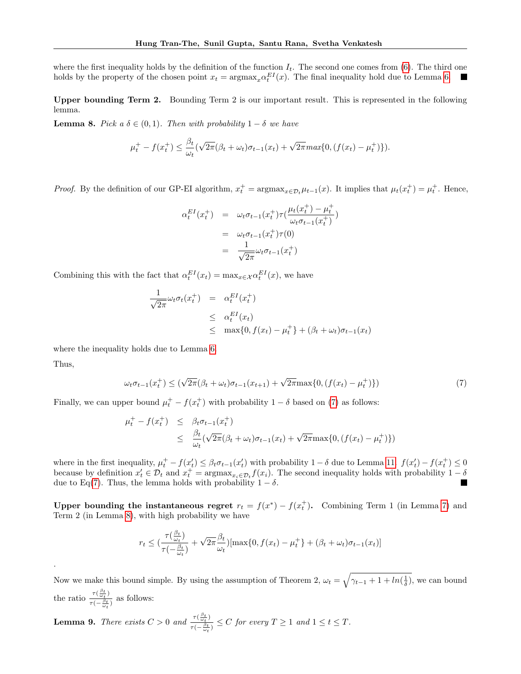where the first inequality holds by the definition of the function  $I_t$ . The second one comes from [\(6\)](#page-13-0). The third one holds by the property of the chosen point  $x_t = \text{argmax}_x \alpha_t^{EI}(x)$ . The final inequality hold due to Lemma [6.](#page-12-0)

Upper bounding Term 2. Bounding Term 2 is our important result. This is represented in the following lemma.

<span id="page-14-1"></span>**Lemma 8.** Pick  $a \delta \in (0,1)$ . Then with probability  $1 - \delta$  we have

$$
\mu_t^+ - f(x_t^+) \le \frac{\beta_t}{\omega_t} (\sqrt{2\pi} (\beta_t + \omega_t) \sigma_{t-1}(x_t) + \sqrt{2\pi} \max\{0, (f(x_t) - \mu_t^+)\}).
$$

*Proof.* By the definition of our GP-EI algorithm,  $x_t^+ = \text{argmax}_{x \in \mathcal{D}_t} \mu_{t-1}(x)$ . It implies that  $\mu_t(x_t^+) = \mu_t^+$ . Hence,

$$
\alpha_t^{EI}(x_t^+) = \omega_t \sigma_{t-1}(x_t^+) \tau(\frac{\mu_t(x_t^+) - \mu_t^+}{\omega_t \sigma_{t-1}(x_t^+)} )
$$
  

$$
= \omega_t \sigma_{t-1}(x_t^+) \tau(0)
$$
  

$$
= \frac{1}{\sqrt{2\pi}} \omega_t \sigma_{t-1}(x_t^+)
$$

Combining this with the fact that  $\alpha_t^{EI}(x_t) = \max_{x \in \mathcal{X}} \alpha_t^{EI}(x)$ , we have

$$
\frac{1}{\sqrt{2\pi}}\omega_t \sigma_t(x_t^+) = \alpha_t^{EI}(x_t^+)
$$
\n
$$
\leq \alpha_t^{EI}(x_t)
$$
\n
$$
\leq \max\{0, f(x_t) - \mu_t^+\} + (\beta_t + \omega_t)\sigma_{t-1}(x_t)
$$

where the inequality holds due to Lemma [6.](#page-12-0) Thus,

.

$$
\omega_t \sigma_{t-1}(x_t^+) \le (\sqrt{2\pi}(\beta_t + \omega_t)\sigma_{t-1}(x_{t+1}) + \sqrt{2\pi} \max\{0, (f(x_t) - \mu_t^+)\})
$$

Finally, we can upper bound  $\mu_t^+ - f(x_t^+)$  with probability  $1 - \delta$  based on [\(7\)](#page-14-0) as follows:

<span id="page-14-0"></span>
$$
\mu_t^+ - f(x_t^+) \leq \beta_t \sigma_{t-1}(x_t^+) \leq \frac{\beta_t}{\omega_t} (\sqrt{2\pi}(\beta_t + \omega_t)\sigma_{t-1}(x_t) + \sqrt{2\pi} \max\{0, (f(x_t) - \mu_t^+)\})
$$

)}) (7)

where in the first inequality,  $\mu_t^+ - f(x_t') \leq \beta_t \sigma_{t-1}(x_t')$  with probability  $1-\delta$  due to Lemma [11.](#page-15-0)  $f(x_t') - f(x_t^+) \leq 0$ because by definition  $x'_t \in \mathcal{D}_t$  and  $x_t^+ = \text{argmax}_{x_i \in \mathcal{D}_t} f(x_i)$ . The second inequality holds with probability  $1 - \delta$ due to Eq[\(7\)](#page-14-0). Thus, the lemma holds with probability  $1 - \delta$ .

Upper bounding the instantaneous regret  $r_t = f(x^*) - f(x_t^+)$ . Combining Term 1 (in Lemma [7\)](#page-13-1) and Term 2 (in Lemma [8\)](#page-14-1), with high probability we have

$$
r_t \leq \left(\frac{\tau(\frac{\beta_t}{\omega_t})}{\tau(-\frac{\beta_t}{\omega_t})} + \sqrt{2\pi} \frac{\beta_t}{\omega_t} \right) [\max\{0, f(x_t) - \mu_t^+\} + (\beta_t + \omega_t)\sigma_{t-1}(x_t)]
$$

Now we make this bound simple. By using the assumption of Theorem 2,  $\omega_t = \sqrt{\gamma_{t-1} + 1 + \ln(\frac{1}{\delta})}$ , we can bound the ratio  $\frac{\tau(\frac{\beta_t}{\omega_t})}{\tau(\frac{\beta_t}{\omega_t})}$  $\frac{\int_{t}^{t} (\omega_t)}{\tau(-\frac{\beta_t}{\omega_t})}$  as follows:

**Lemma 9.** There exists  $C > 0$  and  $\frac{\tau(\frac{\beta_t}{\omega_t})}{\tau(\beta_t)}$  $\frac{\Gamma(\omega_t)}{\tau(-\frac{\beta_t}{\omega_t})} \leq C$  for every  $T \geq 1$  and  $1 \leq t \leq T$ .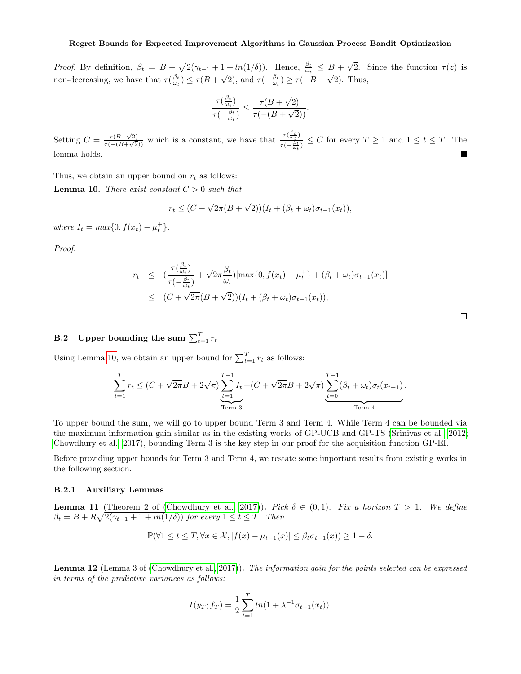*Proof.* By definition,  $\beta_t = B + \sqrt{2(\gamma_{t-1} + 1 + \ln(1/\delta))}$ . Hence,  $\frac{\beta_t}{\omega_t} \leq B + \frac{\beta_t}{\omega_t}$ √ 2. Since the function  $\tau(z)$  is non-decreasing, we have that  $\tau(\frac{\beta_t}{\omega_t}) \leq \tau(B + \frac{1}{2})$ √  $\overline{2}$ ), and  $\tau(-\frac{\beta_t}{\omega_t}) \geq \tau(-B -$ √ 2). Thus,

$$
\frac{\tau(\frac{\beta_t}{\omega_t})}{\tau(-\frac{\beta_t}{\omega_t})}\leq \frac{\tau(B+\sqrt{2})}{\tau(-(B+\sqrt{2}))}.
$$

Setting  $C = \frac{\tau(B+\sqrt{2})}{\tau(A+\sqrt{2})}$  $\frac{\tau(B+\sqrt{2})}{\tau(-(B+\sqrt{2}))}$  which is a constant, we have that  $\frac{\tau(\frac{\beta_t}{\omega_t})}{\tau(-\frac{\beta_t}{\omega_t})}$  $\frac{\sum_{\tau(\frac{\beta t}{\omega_t})}^{t} f(\frac{\beta t}{\omega_t})}{\tau(-\frac{\beta t}{\omega_t})} \leq C$  for every  $T \geq 1$  and  $1 \leq t \leq T$ . The lemma holds.

Thus, we obtain an upper bound on  $r_t$  as follows:

<span id="page-15-1"></span>**Lemma 10.** There exist constant  $C > 0$  such that

$$
r_t \le (C + \sqrt{2\pi}(B + \sqrt{2}))(I_t + (\beta_t + \omega_t)\sigma_{t-1}(x_t)),
$$

where  $I_t = max\{0, f(x_t) - \mu_t^+\}.$ 

Proof.

$$
r_t \leq \left( \frac{\tau(\frac{\beta_t}{\omega_t})}{\tau(-\frac{\beta_t}{\omega_t})} + \sqrt{2\pi} \frac{\beta_t}{\omega_t} \right) [\max\{0, f(x_t) - \mu_t^+\} + (\beta_t + \omega_t)\sigma_{t-1}(x_t)]
$$
  

$$
\leq (C + \sqrt{2\pi}(B + \sqrt{2}))(I_t + (\beta_t + \omega_t)\sigma_{t-1}(x_t)),
$$

# $\textbf{B.2} \quad \textbf{Upper bounding the sum } \sum_{t=1}^T r_t$

Using Lemma [10,](#page-15-1) we obtain an upper bound for  $\sum_{t=1}^{T} r_t$  as follows:

$$
\sum_{t=1}^{T} r_t \le (C + \sqrt{2\pi}B + 2\sqrt{\pi}) \underbrace{\sum_{t=1}^{T-1} I_t + (C + \sqrt{2\pi}B + 2\sqrt{\pi})}_{\text{Term 3}} \underbrace{\sum_{t=0}^{T-1} (\beta_t + \omega_t)\sigma_t(x_{t+1})}_{\text{Term 4}}.
$$

To upper bound the sum, we will go to upper bound Term 3 and Term 4. While Term 4 can be bounded via the maximum information gain similar as in the existing works of GP-UCB and GP-TS [\(Srinivas et al., 2012;](#page-9-14) [Chowdhury et al., 2017\)](#page-8-5), bounding Term 3 is the key step in our proof for the acquisition function GP-EI.

Before providing upper bounds for Term 3 and Term 4, we restate some important results from existing works in the following section.

### B.2.1 Auxiliary Lemmas

<span id="page-15-0"></span>**Lemma 11** (Theorem 2 of [\(Chowdhury et al., 2017\)](#page-8-5)). Pick  $\delta \in (0,1)$ . Fix a horizon  $T > 1$ . We define  $\beta_t = B + R\sqrt{2(\gamma_{t-1} + 1 + \ln(1/\delta))}$  for every  $1 \le t \le T$ . Then

$$
\mathbb{P}(\forall 1 \le t \le T, \forall x \in \mathcal{X}, |f(x) - \mu_{t-1}(x)| \le \beta_t \sigma_{t-1}(x)) \ge 1 - \delta.
$$

<span id="page-15-2"></span>Lemma 12 (Lemma 3 of [\(Chowdhury et al., 2017\)](#page-8-5)). The information gain for the points selected can be expressed in terms of the predictive variances as follows:

$$
I(y_T; f_T) = \frac{1}{2} \sum_{t=1}^{T} \ln(1 + \lambda^{-1} \sigma_{t-1}(x_t)).
$$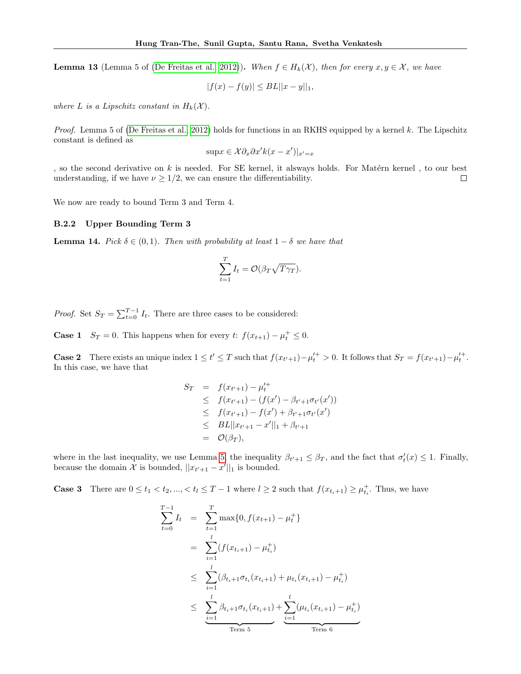**Lemma 13** (Lemma 5 of [\(De Freitas et al., 2012\)](#page-8-3)). When  $f \in H_k(\mathcal{X})$ , then for every  $x, y \in \mathcal{X}$ , we have

$$
|f(x) - f(y)| \le BL||x - y||_1,
$$

where L is a Lipschitz constant in  $H_k(\mathcal{X})$ .

*Proof.* Lemma 5 of [\(De Freitas et al., 2012\)](#page-8-3) holds for functions in an RKHS equipped by a kernel k. The Lipschitz constant is defined as

$$
\sup x \in \mathcal{X} \partial_x \partial x' k(x - x')|_{x' = x}
$$

, so the second derivative on  $k$  is needed. For SE kernel, it alsways holds. For Matérn kernel , to our best understanding, if we have  $\nu \geq 1/2$ , we can ensure the differentiability.  $\Box$ 

We now are ready to bound Term 3 and Term 4.

### B.2.2 Upper Bounding Term 3

<span id="page-16-0"></span>**Lemma 14.** Pick  $\delta \in (0,1)$ . Then with probability at least  $1 - \delta$  we have that

$$
\sum_{t=1}^{T} I_t = \mathcal{O}(\beta_T \sqrt{T \gamma_T}).
$$

*Proof.* Set  $S_T = \sum_{t=0}^{T-1} I_t$ . There are three cases to be considered:

**Case 1**  $S_T = 0$ . This happens when for every t:  $f(x_{t+1}) - \mu_t^+ \leq 0$ .

**Case 2** There exists an unique index  $1 \le t' \le T$  such that  $f(x_{t'+1}) - \mu_t'^+ > 0$ . It follows that  $S_T = f(x_{t'+1}) - \mu_t'^+$ . In this case, we have that

$$
S_T = f(x_{t'+1}) - \mu_t^{t+}
$$
  
\n
$$
\leq f(x_{t'+1}) - (f(x') - \beta_{t'+1}\sigma_{t'}(x'))
$$
  
\n
$$
\leq f(x_{t'+1}) - f(x') + \beta_{t'+1}\sigma_{t'}(x')
$$
  
\n
$$
\leq BL||x_{t'+1} - x'||_1 + \beta_{t'+1}
$$
  
\n
$$
= O(\beta_T),
$$

where in the last inequality, we use Lemma [5,](#page-5-0) the inequality  $\beta_{t'+1} \leq \beta_T$ , and the fact that  $\sigma'_t(x) \leq 1$ . Finally, because the domain  $\mathcal X$  is bounded,  $||x_{t'+1} - x'||_1$  is bounded.

**Case 3** There are  $0 \le t_1 < t_2, ..., < t_l \le T-1$  where  $l \ge 2$  such that  $f(x_{t_i+1}) \ge \mu_{t_i}^+$ . Thus, we have

$$
\sum_{t=0}^{T-1} I_t = \sum_{t=1}^{T} \max\{0, f(x_{t+1}) - \mu_t^+\}
$$
  
\n
$$
= \sum_{i=1}^{l} (f(x_{t_i+1}) - \mu_{t_i}^+)
$$
  
\n
$$
\leq \sum_{i=1}^{l} (\beta_{t_i+1} \sigma_{t_i}(x_{t_i+1}) + \mu_{t_i}(x_{t_i+1}) - \mu_{t_i}^+)
$$
  
\n
$$
\leq \sum_{i=1}^{l} \beta_{t_i+1} \sigma_{t_i}(x_{t_i+1}) + \sum_{i=1}^{l} (\mu_{t_i}(x_{t_i+1}) - \mu_{t_i}^+)
$$
  
\nTerm 5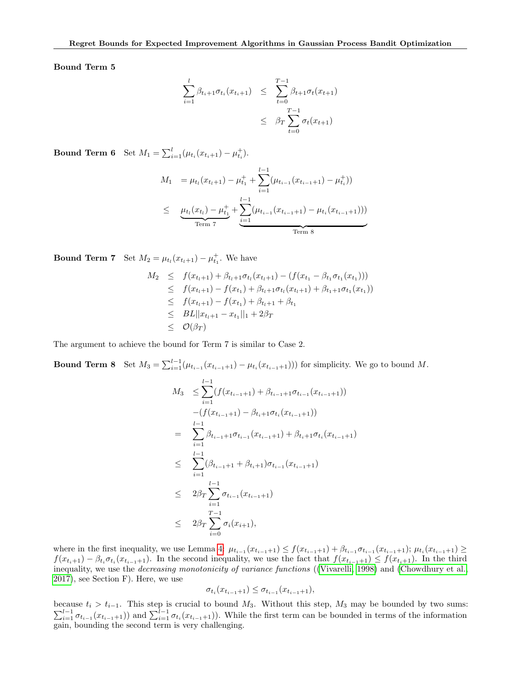Bound Term 5

$$
\sum_{i=1}^{l} \beta_{t_i+1} \sigma_{t_i}(x_{t_i+1}) \leq \sum_{t=0}^{T-1} \beta_{t+1} \sigma_{t}(x_{t+1})
$$
\n
$$
\leq \beta_T \sum_{t=0}^{T-1} \sigma_{t}(x_{t+1})
$$

**Bound Term 6** Set  $M_1 = \sum_{i=1}^{l} (\mu_{t_i}(x_{t_i+1}) - \mu_{t_i}^+).$ 

$$
M_1 = \mu_{t_l}(x_{t_l+1}) - \mu_{t_1}^+ + \sum_{i=1}^{l-1} (\mu_{t_{i-1}}(x_{t_{i-1}+1}) - \mu_{t_i}^+))
$$
  
\n
$$
\leq \underbrace{\mu_{t_l}(x_{t_l}) - \mu_{t_1}^+}_{\text{Term 7}} + \underbrace{\sum_{i=1}^{l-1} (\mu_{t_{i-1}}(x_{t_{i-1}+1}) - \mu_{t_i}(x_{t_{i-1}+1})))}_{\text{Term 8}}
$$

**Bound Term 7** Set  $M_2 = \mu_{t_l}(x_{t_l+1}) - \mu_{t_1}^+$ . We have

$$
M_2 \leq f(x_{t_1+1}) + \beta_{t_1+1}\sigma_{t_1}(x_{t_1+1}) - (f(x_{t_1} - \beta_{t_1}\sigma_{t_1}(x_{t_1})))
$$
  
\n
$$
\leq f(x_{t_1+1}) - f(x_{t_1}) + \beta_{t_1+1}\sigma_{t_1}(x_{t_1+1}) + \beta_{t_1+1}\sigma_{t_1}(x_{t_1}))
$$
  
\n
$$
\leq f(x_{t_1+1}) - f(x_{t_1}) + \beta_{t_1+1} + \beta_{t_1}
$$
  
\n
$$
\leq B L ||x_{t_1+1} - x_{t_1}||_1 + 2\beta_T
$$
  
\n
$$
\leq \mathcal{O}(\beta_T)
$$

The argument to achieve the bound for Term 7 is similar to Case 2.

**Bound Term 8** Set  $M_3 = \sum_{i=1}^{l-1} (\mu_{t_{i-1}}(x_{t_{i-1}+1}) - \mu_{t_i}(x_{t_{i-1}+1}))$  for simplicity. We go to bound M.

$$
M_3 \leq \sum_{i=1}^{l-1} (f(x_{t_{i-1}+1}) + \beta_{t_{i-1}+1} \sigma_{t_{i-1}}(x_{t_{i-1}+1}))
$$
  
\n
$$
-(f(x_{t_{i-1}+1}) - \beta_{t_{i}+1} \sigma_{t_i}(x_{t_{i-1}+1}))
$$
  
\n
$$
= \sum_{i=1}^{l-1} \beta_{t_{i-1}+1} \sigma_{t_{i-1}}(x_{t_{i-1}+1}) + \beta_{t_{i}+1} \sigma_{t_i}(x_{t_{i-1}+1})
$$
  
\n
$$
\leq \sum_{i=1}^{l-1} (\beta_{t_{i-1}+1} + \beta_{t_{i}+1}) \sigma_{t_{i-1}}(x_{t_{i-1}+1})
$$
  
\n
$$
\leq 2\beta_T \sum_{i=1}^{l-1} \sigma_{t_{i-1}}(x_{t_{i-1}+1})
$$
  
\n
$$
\leq 2\beta_T \sum_{i=0}^{T-1} \sigma_i(x_{i+1}),
$$

where in the first inequality, we use Lemma [4:](#page-5-1)  $\mu_{t_{i-1}}(x_{t_{i-1}+1}) \leq f(x_{t_{i-1}+1}) + \beta_{t_{i-1}}\sigma_{t_{i-1}}(x_{t_{i-1}+1}); \mu_{t_i}(x_{t_{i-1}+1}) \geq$  $f(x_{t_{i+1}}) - \beta_{t_i} \sigma_{t_i}(x_{t_{i-1}+1})$ . In the second inequality, we use the fact that  $f(x_{t_{i-1}+1}) \le f(x_{t_i+1})$ . In the third inequality, we use the *decreasing monotonicity of variance functions* ([\(Vivarelli, 1998\)](#page-10-4) and [\(Chowdhury et al.,](#page-8-5) [2017\)](#page-8-5), see Section F). Here, we use

$$
\sigma_{t_i}(x_{t_{i-1}+1}) \leq \sigma_{t_{i-1}}(x_{t_{i-1}+1}),
$$

because  $t_i > t_{i-1}$ . This step is crucial to bound  $M_3$ . Without this step,  $M_3$  may be bounded by two sums:  $\sum_{i=1}^{l-1} \sigma_{t_{i-1}}(x_{t_{i-1}+1})$  and  $\sum_{i=1}^{l-1} \sigma_{t_i}(x_{t_{i-1}+1})$ . While the first term can be bounded in terms of the information gain, bounding the second term is very challenging.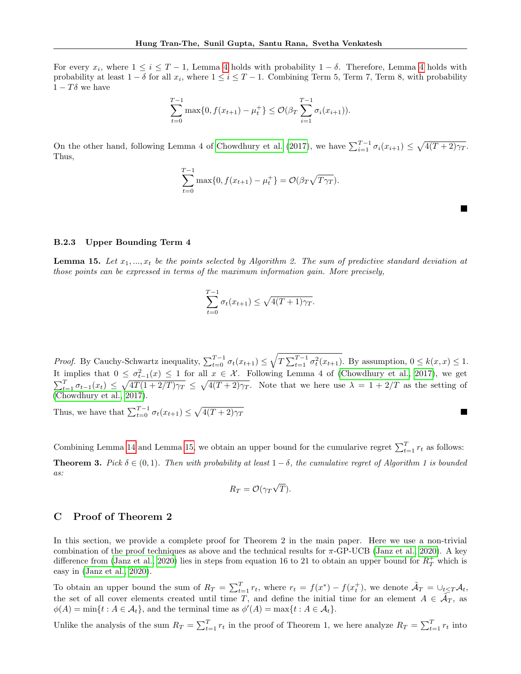For every  $x_i$ , where  $1 \le i \le T-1$ , Lemma [4](#page-5-1) holds with probability  $1-\delta$ . Therefore, Lemma 4 holds with probability at least  $1 - \delta$  for all  $x_i$ , where  $1 \leq i \leq T - 1$ . Combining Term 5, Term 7, Term 8, with probability  $1-T\delta$  we have

$$
\sum_{t=0}^{T-1} \max\{0, f(x_{t+1}) - \mu_t^+\} \leq \mathcal{O}(\beta_T \sum_{i=1}^{T-1} \sigma_i(x_{i+1})).
$$

On the other hand, following Lemma 4 of [Chowdhury et al. \(2017\)](#page-8-5), we have  $\sum_{i=1}^{T-1} \sigma_i(x_{i+1}) \leq \sqrt{4(T+2)\gamma_T}$ . Thus,

$$
\sum_{t=0}^{T-1} \max\{0, f(x_{t+1}) - \mu_t^+\} = \mathcal{O}(\beta_T \sqrt{T\gamma_T}).
$$

### B.2.3 Upper Bounding Term 4

<span id="page-18-0"></span>**Lemma 15.** Let  $x_1, ..., x_t$  be the points selected by Algorithm 2. The sum of predictive standard deviation at those points can be expressed in terms of the maximum information gain. More precisely,

$$
\sum_{t=0}^{T-1} \sigma_t(x_{t+1}) \le \sqrt{4(T+1)\gamma_T}.
$$

*Proof.* By Cauchy-Schwartz inequality,  $\sum_{t=0}^{T-1} \sigma_t(x_{t+1}) \leq \sqrt{T \sum_{t=1}^{T-1} \sigma_t^2(x_{t+1})}$ . By assumption,  $0 \leq k(x, x) \leq 1$ . It implies that  $0 \leq \sigma_{t-1}^2(x) \leq 1$  for all  $x \in \mathcal{X}$ . Following Lemma 4 of [\(Chowdhury et al., 2017\)](#page-8-5), we get  $\sum_{t=1}^T \sigma_{t-1}(x_t) \leq \sqrt{4T(1+2/T)\gamma_T} \leq \sqrt{4(T+2)\gamma_T}$ . Note that we here use  $\lambda = 1 + 2/T$  as the setting of [\(Chowdhury et al., 2017\)](#page-8-5).

 $\blacksquare$ 

Thus, we have that  $\sum_{t=0}^{T-1} \sigma_t(x_{t+1}) \leq \sqrt{4(T+2)\gamma_T}$ 

Combining Lemma [14](#page-16-0) and Lemma [15,](#page-18-0) we obtain an upper bound for the cumularive regret  $\sum_{t=1}^{T} r_t$  as follows: **Theorem 3.** Pick  $\delta \in (0,1)$ . Then with probability at least  $1-\delta$ , the cumulative regret of Algorithm 1 is bounded as:

$$
R_T = \mathcal{O}(\gamma_T \sqrt{T}).
$$

## C Proof of Theorem 2

In this section, we provide a complete proof for Theorem 2 in the main paper. Here we use a non-trivial combination of the proof techniques as above and the technical results for  $\pi$ -GP-UCB [\(Janz et al., 2020\)](#page-9-15). A key difference from [\(Janz et al., 2020\)](#page-9-15) lies in steps from equation 16 to 21 to obtain an upper bound for  $R_T^+$  which is easy in [\(Janz et al., 2020\)](#page-9-15).

To obtain an upper bound the sum of  $R_T = \sum_{t=1}^T r_t$ , where  $r_t = f(x^*) - f(x_t^+)$ , we denote  $\tilde{A}_T = \bigcup_{t \leq T} A_t$ , the set of all cover elements created until time T, and define the initial time for an element  $A \in \tilde{A}_T$ , as  $\phi(A) = \min\{t : A \in \mathcal{A}_t\},\$ and the terminal time as  $\phi'(A) = \max\{t : A \in \mathcal{A}_t\}.$ 

Unlike the analysis of the sum  $R_T = \sum_{t=1}^T r_t$  in the proof of Theorem 1, we here analyze  $R_T = \sum_{t=1}^T r_t$  into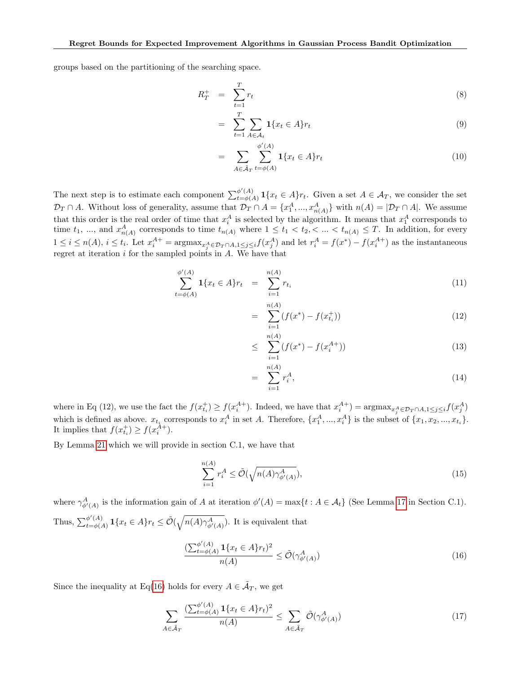groups based on the partitioning of the searching space.

<span id="page-19-1"></span>
$$
R_T^+ = \sum_{t=1}^T r_t \tag{8}
$$

$$
= \sum_{t=1}^{T} \sum_{A \in \mathcal{A}_t} \mathbf{1}\{x_t \in A\} r_t \tag{9}
$$

$$
= \sum_{A \in \tilde{\mathcal{A}}_T} \sum_{t=\phi(A)}^{\phi'(A)} \mathbf{1}\{x_t \in A\} r_t \tag{10}
$$

The next step is to estimate each component  $\sum_{t=0}^{\phi'(A)}$  $t_{t=\phi(A)}^{(\phi(A))} 1\{x_t \in A\} r_t$ . Given a set  $A \in \mathcal{A}_T$ , we consider the set  $\mathcal{D}_T \cap A$ . Without loss of generality, assume that  $\mathcal{D}_T \cap A = \{x_1^A, ..., x_{n(A)}^A\}$  with  $n(A) = |\mathcal{D}_T \cap A|$ . We assume that this order is the real order of time that  $x_i^A$  is selected by the algorithm. It means that  $x_1^A$  corresponds to time  $t_1, ...,$  and  $x_{n(A)}^A$  corresponds to time  $t_{n(A)}$  where  $1 \le t_1 < t_2, < ... < t_{n(A)} \le T$ . In addition, for every  $1 \leq i \leq n(A)$ ,  $i \leq t_i$ . Let  $x_i^{A+} = \text{argmax}_{x_j^A \in \mathcal{D}_T \cap A, 1 \leq j \leq i} f(x_j^A)$  and let  $r_i^A = f(x^*) - f(x_i^{A+})$  as the instantaneous regret at iteration  $i$  for the sampled points in  $A$ . We have that

$$
\sum_{t=\phi(A)}^{\phi'(A)} \mathbf{1}\{x_t \in A\} r_t = \sum_{i=1}^{n(A)} r_{t_i}
$$
\n(11)

$$
= \sum_{i=1}^{n(A)} (f(x^*) - f(x_{t_i}^+)) \tag{12}
$$

$$
\leq \sum_{i=1}^{n(A)} (f(x^*) - f(x_i^{A+})) \tag{13}
$$

$$
= \sum_{i=1}^{n(A)} r_i^A,
$$
\n(14)

where in Eq (12), we use the fact the  $f(x_{t_i}^+) \ge f(x_i^{A+})$ . Indeed, we have that  $x_i^{A+}$ ) =  $\operatorname{argmax}_{x_j^A \in \mathcal{D}_T \cap A, 1 \le j \le i} f(x_j^A)$ which is defined as above.  $x_{t_i}$  corresponds to  $x_i^A$  in set A. Therefore,  $\{x_1^A, ..., x_i^A\}$  is the subset of  $\{x_1, x_2, ..., x_{t_i}\}$ . It implies that  $f(x_{t_i}^+) \ge f(x_i^{\hat{A}+})$ .

By Lemma [21](#page-21-0) which we will provide in section C.1, we have that

$$
\sum_{i=1}^{n(A)} r_i^A \le \tilde{\mathcal{O}}(\sqrt{n(A)\gamma_{\phi'(A)}^A}),\tag{15}
$$

where  $\gamma_{\phi'(A)}^A$  is the information gain of A at iteration  $\phi'(A) = \max\{t : A \in \mathcal{A}_t\}$  (See Lemma [17](#page-20-0) in Section C.1). Thus,  $\sum_{t=\phi(A)}^{\phi'(A)}$  $\phi'(A)$   $\mathbf{1}\{x_t \in A\}r_t \leq \tilde{\mathcal{O}}(\sqrt{n(A)\gamma_{\phi'(A)}^A})$ . It is equivalent that

<span id="page-19-0"></span>
$$
\frac{\left(\sum_{t=\phi(A)}^{\phi'(A)} \mathbf{1}\{x_t \in A\} r_t\right)^2}{n(A)} \le \tilde{\mathcal{O}}(\gamma^A_{\phi'(A)})
$$
\n(16)

Since the inequality at Eq[\(16\)](#page-19-0) holds for every  $A \in \tilde{A}_T$ , we get

<span id="page-19-2"></span>
$$
\sum_{A \in \tilde{\mathcal{A}}_T} \frac{\left(\sum_{t=\phi(A)}^{\phi'(A)} \mathbf{1}\{x_t \in A\} r_t\right)^2}{n(A)} \le \sum_{A \in \tilde{\mathcal{A}}_T} \tilde{\mathcal{O}}(\gamma^A_{\phi'(A)})
$$
(17)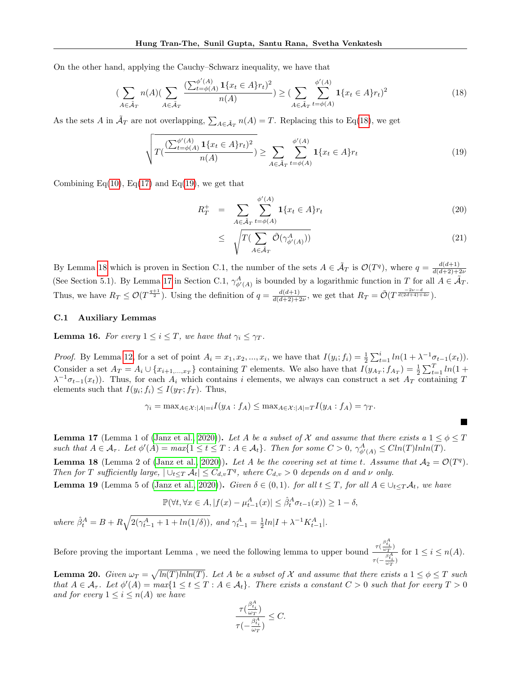On the other hand, applying the Cauchy–Schwarz inequality, we have that

<span id="page-20-1"></span>
$$
\left(\sum_{A \in \tilde{\mathcal{A}}_T} n(A) \left(\sum_{A \in \tilde{\mathcal{A}}_T} \frac{(\sum_{t=\phi(A)}^{\phi'(A)} \mathbf{1}\{x_t \in A\} r_t)^2}{n(A)}\right) \ge \left(\sum_{A \in \tilde{\mathcal{A}}_T} \sum_{t=\phi(A)}^{\phi'(A)} \mathbf{1}\{x_t \in A\} r_t\right)^2\tag{18}
$$

As the sets A in  $\tilde{A}_T$  are not overlapping,  $\sum_{A \in \tilde{A}_T} n(A) = T$ . Replacing this to Eq[\(18\)](#page-20-1), we get

<span id="page-20-2"></span>
$$
\sqrt{T\left(\frac{\sum_{t=\phi(A)}^{\phi'(A)} \mathbf{1}\{x_t \in A\} r_t\right)^2}{n(A)}} \ge \sum_{A \in \tilde{\mathcal{A}}_T} \sum_{t=\phi(A)}^{\phi'(A)} \mathbf{1}\{x_t \in A\} r_t \tag{19}
$$

Combining  $Eq(10)$  $Eq(10)$ ,  $Eq(17)$  $Eq(17)$  and  $Eq(19)$  $Eq(19)$ , we get that

$$
R_T^+ = \sum_{A \in \tilde{\mathcal{A}}_T} \sum_{t=\phi(A)}^{\phi'(A)} \mathbf{1} \{ x_t \in A \} r_t \tag{20}
$$

$$
\leq \sqrt{T(\sum_{A \in \tilde{\mathcal{A}}_T} \tilde{\mathcal{O}}(\gamma^A_{\phi'(A)}))}
$$
(21)

×

By Lemma [18](#page-20-3) which is proven in Section C.1, the number of the sets  $A \in \tilde{\mathcal{A}}_T$  is  $\mathcal{O}(T^q)$ , where  $q = \frac{d(d+1)}{d(d+2)+1}$  $d(d+2)+2\nu$ (See Section 5.1). By Lemma [17](#page-20-0) in Section C.1,  $\gamma_{\phi'(A)}^A$  is bounded by a logarithmic function in T for all  $A \in \mathcal{A}_T$ . Thus, we have  $R_T \leq \mathcal{O}(T^{\frac{q+1}{2}})$ . Using the definition of  $q = \frac{d(d+1)}{d(d+2)+1}$  $\frac{d(d+1)}{d(d+2)+2\nu}$ , we get that  $R_T = \tilde{\mathcal{O}}(T^{\frac{-2\nu - d}{d(2d+4)+4\nu}})$ .

### C.1 Auxiliary Lemmas

**Lemma 16.** For every  $1 \leq i \leq T$ , we have that  $\gamma_i \leq \gamma_T$ .

*Proof.* By Lemma [12,](#page-15-2) for a set of point  $A_i = x_1, x_2, ..., x_i$ , we have that  $I(y_i; f_i) = \frac{1}{2} \sum_{t=1}^{i} ln(1 + \lambda^{-1} \sigma_{t-1}(x_t)).$ Consider a set  $A_T = A_i \cup \{x_{i+1,...,x_T}\}\)$  containing T elements. We also have that  $I(y_{A_T}; f_{A_T}) = \frac{1}{2} \sum_{t=1}^T ln(1 +$  $\lambda^{-1}\sigma_{t-1}(x_t)$ ). Thus, for each  $A_i$  which contains i elements, we always can construct a set  $A_T$  containing T elements such that  $I(y_i; f_i) \leq I(y_T; f_T)$ . Thus,

$$
\gamma_i = \max_{A \in \mathcal{X}: |A| = i} I(y_A : f_A) \le \max_{A \in \mathcal{X}: |A| = T} I(y_A : f_A) = \gamma_T.
$$

<span id="page-20-0"></span>**Lemma 17** (Lemma 1 of [\(Janz et al., 2020\)](#page-9-15)). Let A be a subset of X and assume that there exists a  $1 \le \phi \le T$ such that  $A \in \mathcal{A}_{\tau}$ . Let  $\phi'(A) = max\{1 \leq t \leq T : A \in \mathcal{A}_t\}$ . Then for some  $C > 0$ ,  $\gamma_{\phi'(A)}^A \leq C ln(T) ln ln(T)$ .

<span id="page-20-3"></span>**Lemma 18** (Lemma 2 of [\(Janz et al., 2020\)](#page-9-15)). Let A be the covering set at time t. Assume that  $A_2 = \mathcal{O}(T^q)$ . Then for T sufficiently large,  $|\bigcup_{t\leq T} A_t| \leq C_{d,v}T^q$ , where  $C_{d,v} > 0$  depends on d and  $\nu$  only.

**Lemma 19** (Lemma 5 of [\(Janz et al., 2020\)](#page-9-15)). Given  $\delta \in (0,1)$ . for all  $t \leq T$ , for all  $A \in \bigcup_{t \leq T} A_t$ , we have

$$
\mathbb{P}(\forall t, \forall x \in A, |f(x) - \mu_{t-1}^A(x)| \leq \hat{\beta}_t^A \sigma_{t-1}(x)) \geq 1 - \delta,
$$

where  $\hat{\beta}_t^A = B + R \sqrt{2(\gamma_{t-1}^A + 1 + \ln(1/\delta))}$ , and  $\gamma_{t-1}^A = \frac{1}{2} \ln |I + \lambda^{-1} K_{t-1}^A|$ .

Before proving the important Lemma, we need the following lemma to upper bound  $\frac{\tau(\frac{\beta t_i^1}{\omega_T})}{\alpha A}$  $\frac{\beta_{t_i}^A}{\tau(-\frac{\omega_T}{\omega_T})}$ for  $1 \leq i \leq n(A)$ .

**Lemma 20.** Given  $\omega_T = \sqrt{\ln(T)\ln\ln(T)}$ . Let A be a subset of X and assume that there exists a  $1 \le \phi \le T$  such that  $A \in \mathcal{A}_{\tau}$ . Let  $\phi'(A) = max\{1 \le t \le T : A \in \mathcal{A}_t\}$ . There exists a constant  $C > 0$  such that for every  $T > 0$ and for every  $1 \leq i \leq n(A)$  we have

$$
\frac{\tau(\frac{\beta_{t_i}^A}{\omega_T})}{\tau(-\frac{\beta_{t_i}^A}{\omega_T})}\leq C.
$$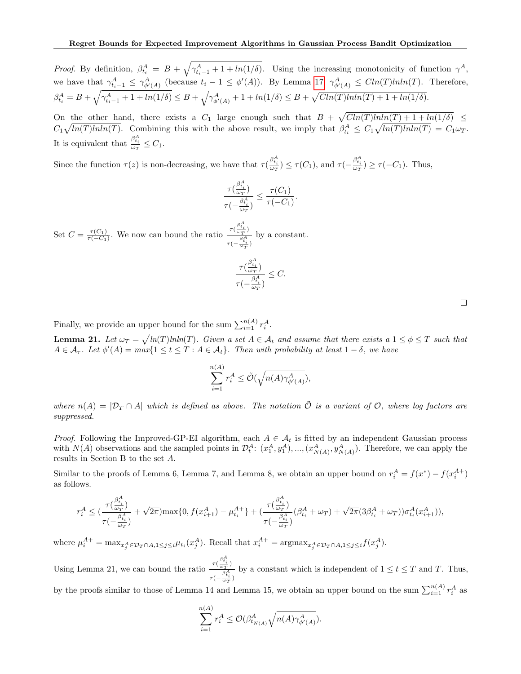*Proof.* By definition,  $\beta_{t_i}^A = B + \sqrt{\gamma_{t_i-1}^A + 1 + \ln(1/\delta)}$ . Using the increasing monotonicity of function  $\gamma^A$ , we have that  $\gamma_{t_{i}-1}^{A} \leq \gamma_{\phi'(A)}^{A}$  (because  $t_{i}-1 \leq \phi'(A)$ ). By Lemma [17,](#page-20-0)  $\gamma_{\phi'(A)}^{A} \leq C ln(T) ln ln(T)$ . Therefore,  $\beta_{t_i}^A = B + \sqrt{\gamma_{t_i-1}^A + 1 + \ln(1/\delta)} \le B + \sqrt{\gamma_{\phi'(A)}^A + 1 + \ln(1/\delta)} \le B + \sqrt{C \ln(T) \ln \ln(T) + 1 + \ln(1/\delta)}.$ 

On the other hand, there exists a  $C_1$  large enough such that  $B + \sqrt{C ln(T) ln ln(T) + 1 + ln(1/\delta)} \leq$  $C_1\sqrt{\ln(T)\ln\ln(T)}$ . Combining this with the above result, we imply that  $\beta_{t_i}^A \leq C_1\sqrt{\ln(T)\ln\ln(T)} = C_1\omega_T$ . It is equivalent that  $\frac{\beta_{t_i}^A}{\omega_T} \leq C_1$ .

Since the function  $\tau(z)$  is non-decreasing, we have that  $\tau(\frac{\beta_{t_i}^A}{\omega_T}) \leq \tau(C_1)$ , and  $\tau(-\frac{\beta_{t_i}^A}{\omega_T}) \geq \tau(-C_1)$ . Thus,

$$
\frac{\tau(\frac{\beta t_i}{\omega_T})}{\tau(-\frac{\beta t_i}{\omega_T})} \leq \frac{\tau(C_1)}{\tau(-C_1)}.
$$

Set  $C = \frac{\tau(C_1)}{\tau(-C_1)}$  $\frac{\tau(C_1)}{\tau(-C_1)}$ . We now can bound the ratio  $\frac{\tau(\frac{\beta t_i}{\omega_T})}{\beta t_i}$  $\tau(-\frac{\beta_{t_i}^A}{\omega_T})$ by a constant.

$$
\frac{\tau(\frac{\beta_{t_i}^A}{\omega_T})}{\tau(-\frac{\beta_{t_i}^A}{\omega_T})} \leq C.
$$

Finally, we provide an upper bound for the sum  $\sum_{i=1}^{n(A)} r_i^A$ .

<span id="page-21-0"></span>**Lemma 21.** Let  $\omega_T = \sqrt{\ln(T)\ln\ln(T)}$ . Given a set  $A \in \mathcal{A}_t$  and assume that there exists a  $1 \leq \phi \leq T$  such that  $A \in \mathcal{A}_{\tau}$ . Let  $\phi'(A) = max\{1 \leq t \leq T : A \in \mathcal{A}_t\}$ . Then with probability at least  $1 - \delta$ , we have

$$
\sum_{i=1}^{n(A)} r_i^A \le \tilde{\mathcal{O}}(\sqrt{n(A)\gamma_{\phi'(A)}^A}),
$$

where  $n(A) = |\mathcal{D}_T \cap A|$  which is defined as above. The notation  $\tilde{\mathcal{O}}$  is a variant of  $\mathcal{O}$ , where log factors are suppressed.

*Proof.* Following the Improved-GP-EI algorithm, each  $A \in \mathcal{A}_t$  is fitted by an independent Gaussian process with  $N(A)$  observations and the sampled points in  $\mathcal{D}_t^A$ :  $(x_1^A, y_1^A)$ , ...,  $(x_{N(A)}^A, y_{N(A)}^A)$ . Therefore, we can apply the results in Section B to the set A.

Similar to the proofs of Lemma 6, Lemma 7, and Lemma 8, we obtain an upper bound on  $r_i^A = f(x^*) - f(x_i^{A+})$ as follows.

$$
r_i^A \leq (\frac{\tau(\frac{\beta_{t_i}^A}{\omega_T})}{\tau(-\frac{\beta_{t_i}^A}{\omega_T})} + \sqrt{2\pi})\text{max}\{0, f(x_{i+1}^A) - \mu_{t_i}^{A+}\} + (\frac{\tau(\frac{\beta_{t_i}^A}{\omega_T})}{\tau(-\frac{\beta_{t_i}^A}{\omega_T})}(\beta_{t_i}^A + \omega_T) + \sqrt{2\pi}(3\beta_{t_i}^A + \omega_T))\sigma_{t_i}^A(x_{i+1}^A)),
$$

where  $\mu_i^{A+} = \max_{x_j^A \in \mathcal{D}_T \cap A, 1 \leq j \leq i} \mu_{t_i}(x_j^A)$ . Recall that  $x_i^{A+} = \text{argmax}_{x_j^A \in \mathcal{D}_T \cap A, 1 \leq j \leq i} f(x_j^A)$ .

Using Lemma 21, we can bound the ratio  $\frac{\tau(\frac{\beta t_i}{\omega_T})}{\sigma^A}$  $\tau(-\frac{\beta_{t_i}^A}{\omega T})$ by the proofs similar to those of Lemma 14 and Lemma 15, we obtain an upper bound on the sum  $\sum_{i=1}^{n(A)} r_i^A$  as by a constant which is independent of  $1 \le t \le T$  and T. Thus,

$$
\sum_{i=1}^{n(A)} r_i^A \le \mathcal{O}(\beta_{t_{N(A)}}^A \sqrt{n(A)\gamma_{\phi'(A)}^A}).
$$